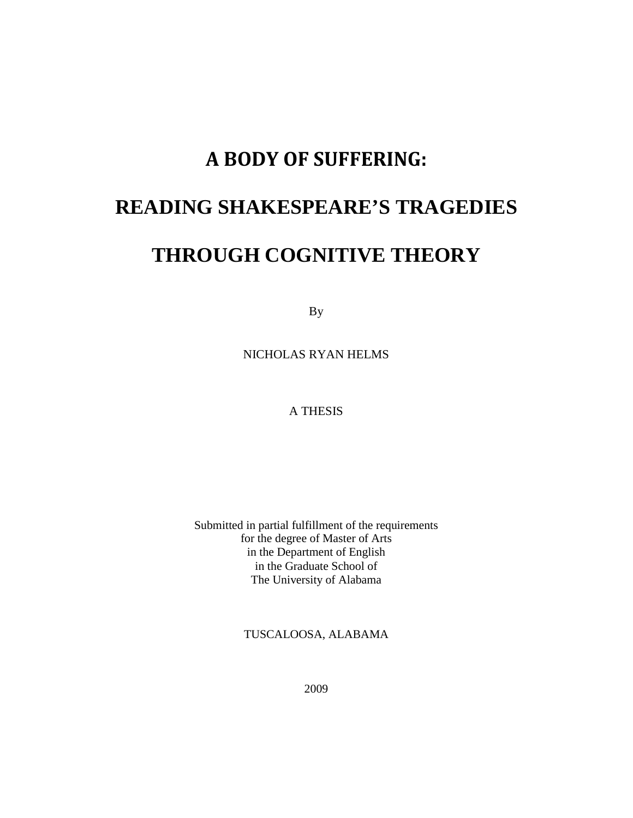# A BODY OF SUFFERING:

## **READING SHAKESPEARE'S TRAGEDIES**

## **THROUGH COGNITIVE THEORY**

By

NICHOLAS RYAN HELMS

A THESIS

Submitted in partial fulfillment of the requirements for the degree of Master of Arts in the Department of English in the Graduate School of The University of Alabama

TUSCALOOSA, ALABAMA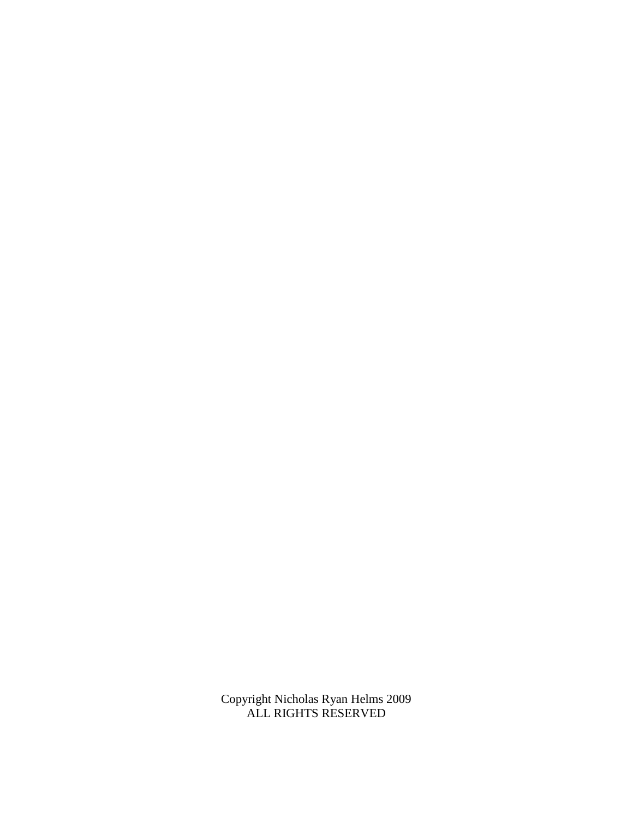Copyright Nicholas Ryan Helms 2009 ALL RIGHTS RESERVED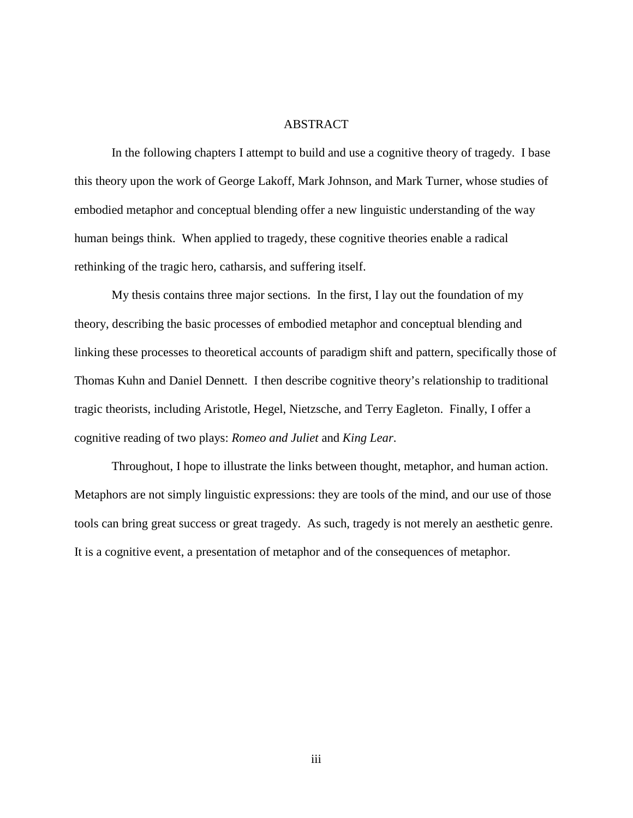#### ABSTRACT

 In the following chapters I attempt to build and use a cognitive theory of tragedy. I base this theory upon the work of George Lakoff, Mark Johnson, and Mark Turner, whose studies of embodied metaphor and conceptual blending offer a new linguistic understanding of the way human beings think. When applied to tragedy, these cognitive theories enable a radical rethinking of the tragic hero, catharsis, and suffering itself.

 My thesis contains three major sections. In the first, I lay out the foundation of my theory, describing the basic processes of embodied metaphor and conceptual blending and linking these processes to theoretical accounts of paradigm shift and pattern, specifically those of Thomas Kuhn and Daniel Dennett. I then describe cognitive theory's relationship to traditional tragic theorists, including Aristotle, Hegel, Nietzsche, and Terry Eagleton. Finally, I offer a cognitive reading of two plays: *Romeo and Juliet* and *King Lear*.

 Throughout, I hope to illustrate the links between thought, metaphor, and human action. Metaphors are not simply linguistic expressions: they are tools of the mind, and our use of those tools can bring great success or great tragedy. As such, tragedy is not merely an aesthetic genre. It is a cognitive event, a presentation of metaphor and of the consequences of metaphor.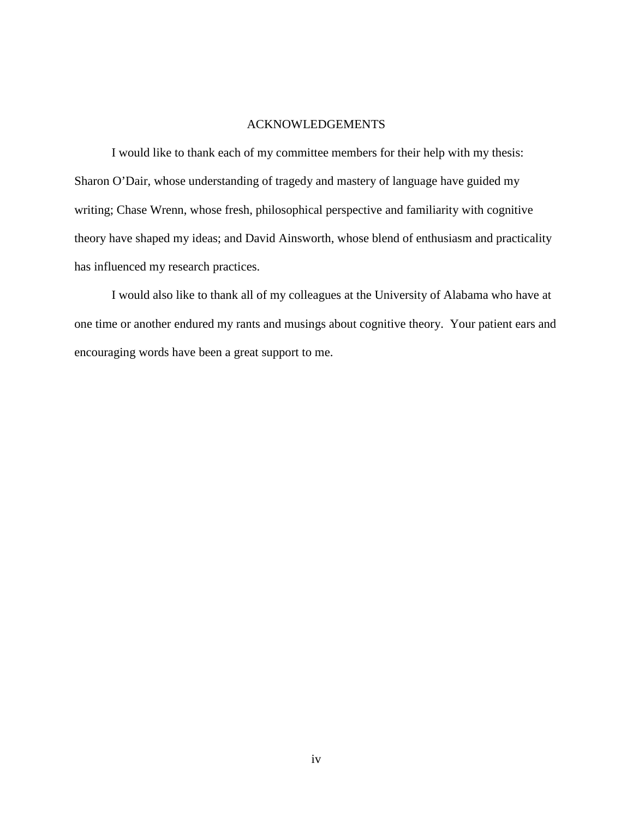#### ACKNOWLEDGEMENTS

 I would like to thank each of my committee members for their help with my thesis: Sharon O'Dair, whose understanding of tragedy and mastery of language have guided my writing; Chase Wrenn, whose fresh, philosophical perspective and familiarity with cognitive theory have shaped my ideas; and David Ainsworth, whose blend of enthusiasm and practicality has influenced my research practices.

 I would also like to thank all of my colleagues at the University of Alabama who have at one time or another endured my rants and musings about cognitive theory. Your patient ears and encouraging words have been a great support to me.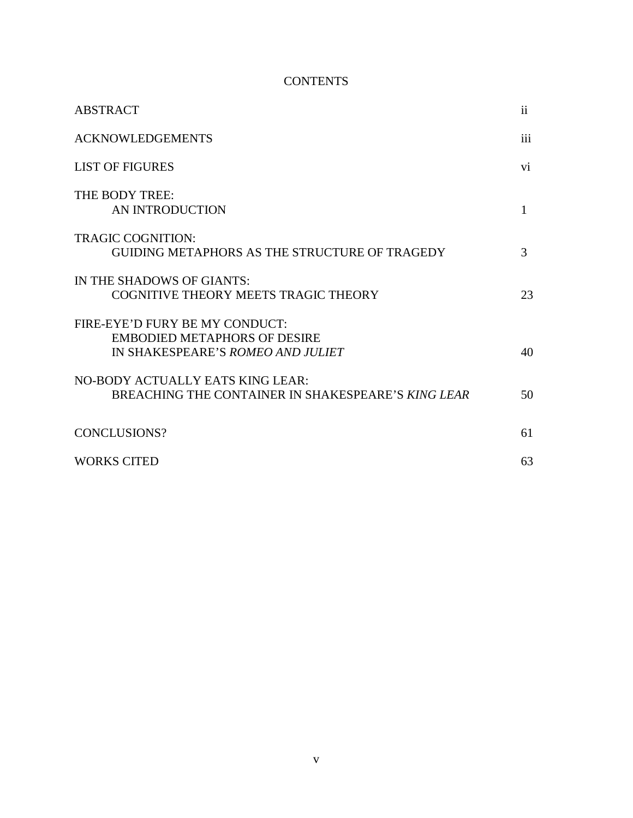#### **CONTENTS**

| <b>ABSTRACT</b>                                                                                            | $\mathbf{ii}$ |
|------------------------------------------------------------------------------------------------------------|---------------|
| <b>ACKNOWLEDGEMENTS</b>                                                                                    | iii           |
| <b>LIST OF FIGURES</b>                                                                                     | vi.           |
| THE BODY TREE:<br>AN INTRODUCTION                                                                          | 1             |
| <b>TRAGIC COGNITION:</b><br><b>GUIDING METAPHORS AS THE STRUCTURE OF TRAGEDY</b>                           | 3             |
| IN THE SHADOWS OF GIANTS:<br>COGNITIVE THEORY MEETS TRAGIC THEORY                                          | 23            |
| FIRE-EYE'D FURY BE MY CONDUCT:<br><b>EMBODIED METAPHORS OF DESIRE</b><br>IN SHAKESPEARE'S ROMEO AND JULIET | 40            |
| NO-BODY ACTUALLY EATS KING LEAR:<br>BREACHING THE CONTAINER IN SHAKESPEARE'S KING LEAR                     | 50            |
| CONCLUSIONS?                                                                                               | 61            |
| <b>WORKS CITED</b>                                                                                         | 63            |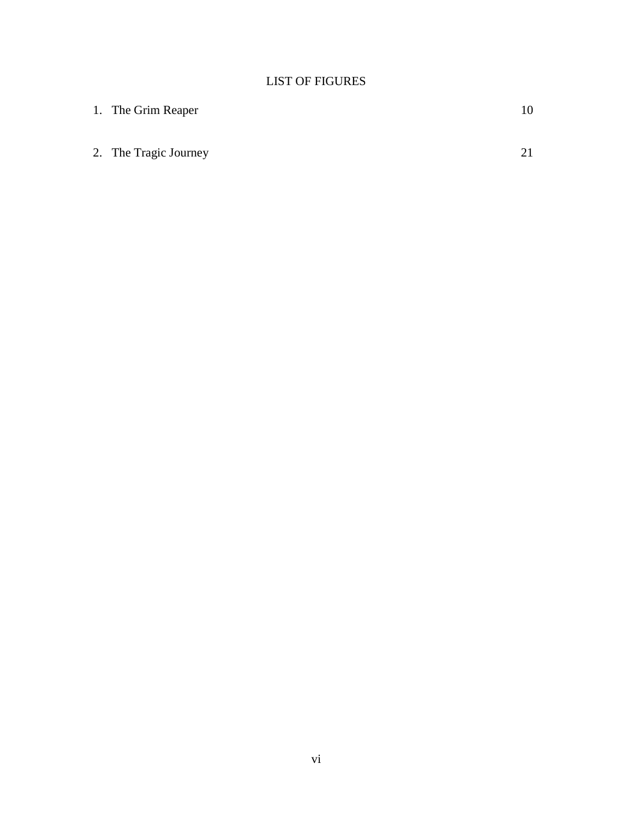#### LIST OF FIGURES

| 1. The Grim Reaper    |  |
|-----------------------|--|
|                       |  |
| 2. The Tragic Journey |  |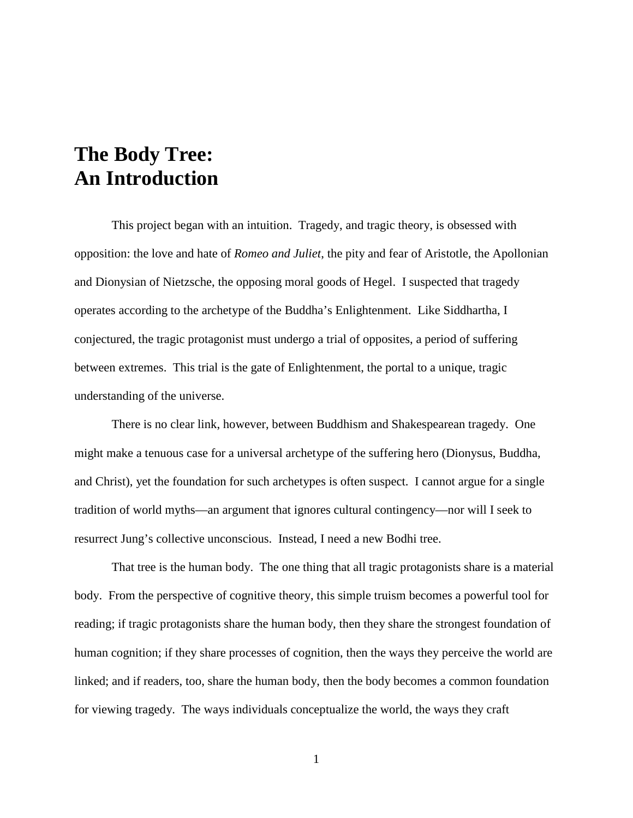# **The Body Tree: An Introduction**

 This project began with an intuition. Tragedy, and tragic theory, is obsessed with opposition: the love and hate of *Romeo and Juliet*, the pity and fear of Aristotle, the Apollonian and Dionysian of Nietzsche, the opposing moral goods of Hegel. I suspected that tragedy operates according to the archetype of the Buddha's Enlightenment. Like Siddhartha, I conjectured, the tragic protagonist must undergo a trial of opposites, a period of suffering between extremes. This trial is the gate of Enlightenment, the portal to a unique, tragic understanding of the universe.

 There is no clear link, however, between Buddhism and Shakespearean tragedy. One might make a tenuous case for a universal archetype of the suffering hero (Dionysus, Buddha, and Christ), yet the foundation for such archetypes is often suspect. I cannot argue for a single tradition of world myths—an argument that ignores cultural contingency—nor will I seek to resurrect Jung's collective unconscious. Instead, I need a new Bodhi tree.

 That tree is the human body. The one thing that all tragic protagonists share is a material body. From the perspective of cognitive theory, this simple truism becomes a powerful tool for reading; if tragic protagonists share the human body, then they share the strongest foundation of human cognition; if they share processes of cognition, then the ways they perceive the world are linked; and if readers, too, share the human body, then the body becomes a common foundation for viewing tragedy. The ways individuals conceptualize the world, the ways they craft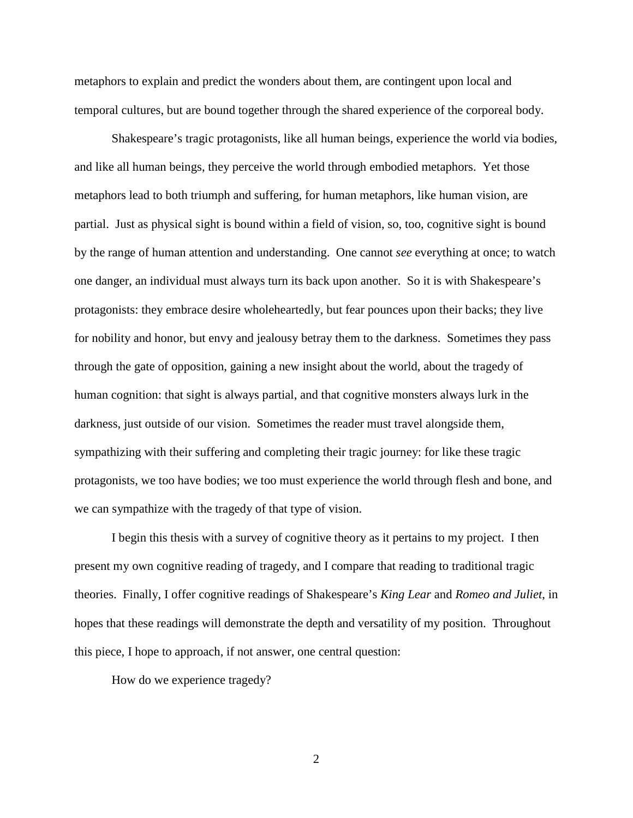metaphors to explain and predict the wonders about them, are contingent upon local and temporal cultures, but are bound together through the shared experience of the corporeal body.

 Shakespeare's tragic protagonists, like all human beings, experience the world via bodies, and like all human beings, they perceive the world through embodied metaphors. Yet those metaphors lead to both triumph and suffering, for human metaphors, like human vision, are partial. Just as physical sight is bound within a field of vision, so, too, cognitive sight is bound by the range of human attention and understanding. One cannot *see* everything at once; to watch one danger, an individual must always turn its back upon another. So it is with Shakespeare's protagonists: they embrace desire wholeheartedly, but fear pounces upon their backs; they live for nobility and honor, but envy and jealousy betray them to the darkness. Sometimes they pass through the gate of opposition, gaining a new insight about the world, about the tragedy of human cognition: that sight is always partial, and that cognitive monsters always lurk in the darkness, just outside of our vision. Sometimes the reader must travel alongside them, sympathizing with their suffering and completing their tragic journey: for like these tragic protagonists, we too have bodies; we too must experience the world through flesh and bone, and we can sympathize with the tragedy of that type of vision.

 I begin this thesis with a survey of cognitive theory as it pertains to my project. I then present my own cognitive reading of tragedy, and I compare that reading to traditional tragic theories. Finally, I offer cognitive readings of Shakespeare's *King Lear* and *Romeo and Juliet*, in hopes that these readings will demonstrate the depth and versatility of my position. Throughout this piece, I hope to approach, if not answer, one central question:

How do we experience tragedy?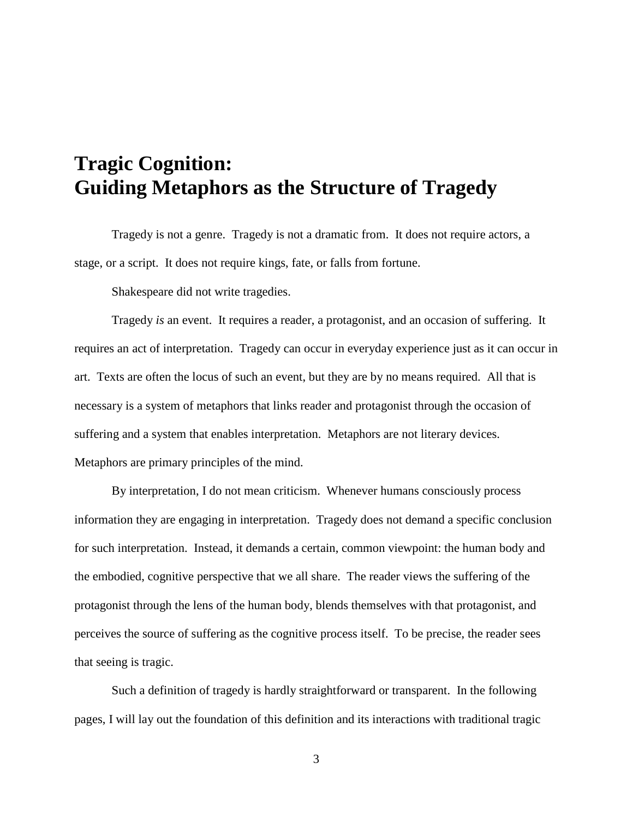# **Tragic Cognition: Guiding Metaphors as the Structure of Tragedy**

Tragedy is not a genre. Tragedy is not a dramatic from. It does not require actors, a stage, or a script. It does not require kings, fate, or falls from fortune.

Shakespeare did not write tragedies.

Tragedy *is* an event. It requires a reader, a protagonist, and an occasion of suffering. It requires an act of interpretation. Tragedy can occur in everyday experience just as it can occur in art. Texts are often the locus of such an event, but they are by no means required. All that is necessary is a system of metaphors that links reader and protagonist through the occasion of suffering and a system that enables interpretation. Metaphors are not literary devices. Metaphors are primary principles of the mind.

By interpretation, I do not mean criticism. Whenever humans consciously process information they are engaging in interpretation. Tragedy does not demand a specific conclusion for such interpretation. Instead, it demands a certain, common viewpoint: the human body and the embodied, cognitive perspective that we all share. The reader views the suffering of the protagonist through the lens of the human body, blends themselves with that protagonist, and perceives the source of suffering as the cognitive process itself. To be precise, the reader sees that seeing is tragic.

Such a definition of tragedy is hardly straightforward or transparent. In the following pages, I will lay out the foundation of this definition and its interactions with traditional tragic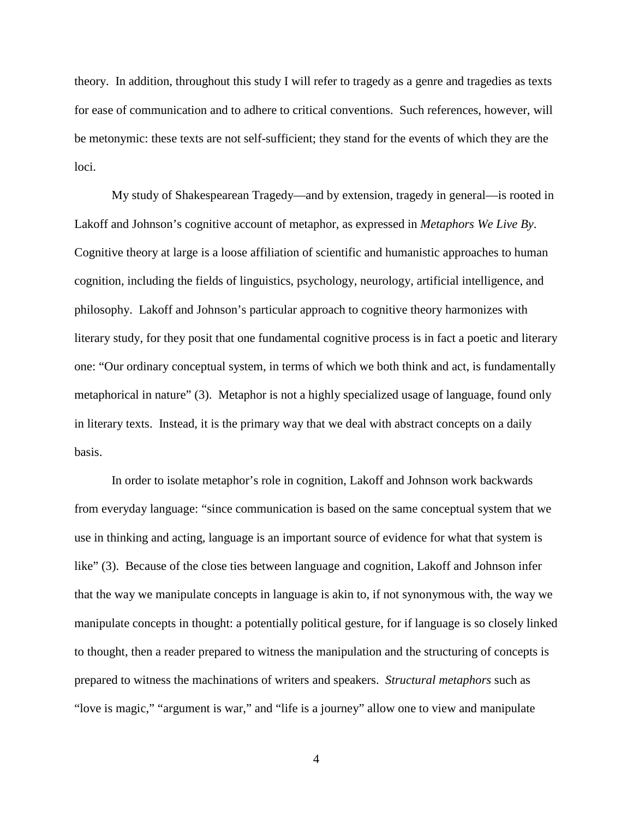theory. In addition, throughout this study I will refer to tragedy as a genre and tragedies as texts for ease of communication and to adhere to critical conventions. Such references, however, will be metonymic: these texts are not self-sufficient; they stand for the events of which they are the loci.

My study of Shakespearean Tragedy—and by extension, tragedy in general—is rooted in Lakoff and Johnson's cognitive account of metaphor, as expressed in *Metaphors We Live By*. Cognitive theory at large is a loose affiliation of scientific and humanistic approaches to human cognition, including the fields of linguistics, psychology, neurology, artificial intelligence, and philosophy. Lakoff and Johnson's particular approach to cognitive theory harmonizes with literary study, for they posit that one fundamental cognitive process is in fact a poetic and literary one: "Our ordinary conceptual system, in terms of which we both think and act, is fundamentally metaphorical in nature" (3). Metaphor is not a highly specialized usage of language, found only in literary texts. Instead, it is the primary way that we deal with abstract concepts on a daily basis.

In order to isolate metaphor's role in cognition, Lakoff and Johnson work backwards from everyday language: "since communication is based on the same conceptual system that we use in thinking and acting, language is an important source of evidence for what that system is like" (3). Because of the close ties between language and cognition, Lakoff and Johnson infer that the way we manipulate concepts in language is akin to, if not synonymous with, the way we manipulate concepts in thought: a potentially political gesture, for if language is so closely linked to thought, then a reader prepared to witness the manipulation and the structuring of concepts is prepared to witness the machinations of writers and speakers. *Structural metaphors* such as "love is magic," "argument is war," and "life is a journey" allow one to view and manipulate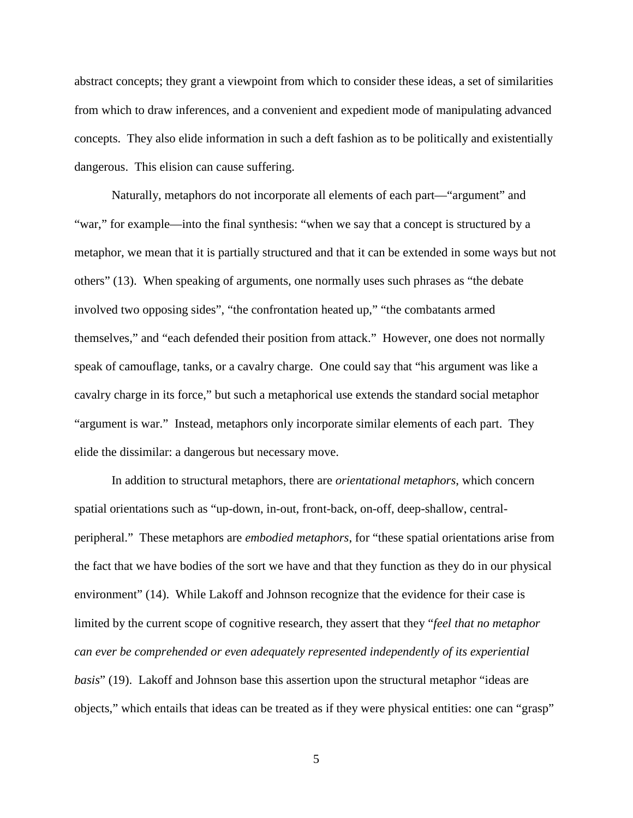abstract concepts; they grant a viewpoint from which to consider these ideas, a set of similarities from which to draw inferences, and a convenient and expedient mode of manipulating advanced concepts. They also elide information in such a deft fashion as to be politically and existentially dangerous. This elision can cause suffering.

Naturally, metaphors do not incorporate all elements of each part—"argument" and "war," for example—into the final synthesis: "when we say that a concept is structured by a metaphor, we mean that it is partially structured and that it can be extended in some ways but not others" (13). When speaking of arguments, one normally uses such phrases as "the debate involved two opposing sides", "the confrontation heated up," "the combatants armed themselves," and "each defended their position from attack." However, one does not normally speak of camouflage, tanks, or a cavalry charge. One could say that "his argument was like a cavalry charge in its force," but such a metaphorical use extends the standard social metaphor "argument is war." Instead, metaphors only incorporate similar elements of each part. They elide the dissimilar: a dangerous but necessary move.

In addition to structural metaphors, there are *orientational metaphors*, which concern spatial orientations such as "up-down, in-out, front-back, on-off, deep-shallow, centralperipheral." These metaphors are *embodied metaphors*, for "these spatial orientations arise from the fact that we have bodies of the sort we have and that they function as they do in our physical environment" (14). While Lakoff and Johnson recognize that the evidence for their case is limited by the current scope of cognitive research, they assert that they "*feel that no metaphor can ever be comprehended or even adequately represented independently of its experiential basis*" (19). Lakoff and Johnson base this assertion upon the structural metaphor "ideas are objects," which entails that ideas can be treated as if they were physical entities: one can "grasp"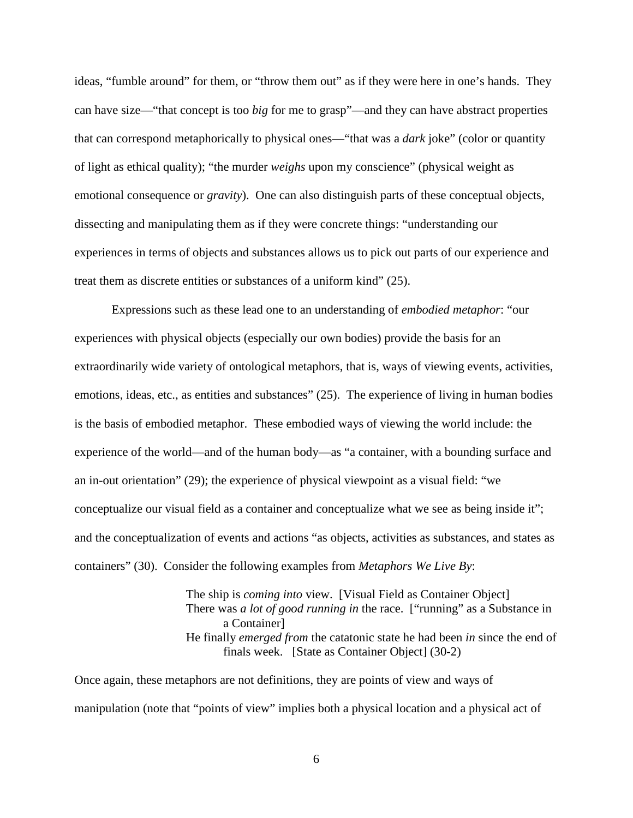ideas, "fumble around" for them, or "throw them out" as if they were here in one's hands. They can have size—"that concept is too *big* for me to grasp"—and they can have abstract properties that can correspond metaphorically to physical ones—"that was a *dark* joke" (color or quantity of light as ethical quality); "the murder *weighs* upon my conscience" (physical weight as emotional consequence or *gravity*). One can also distinguish parts of these conceptual objects, dissecting and manipulating them as if they were concrete things: "understanding our experiences in terms of objects and substances allows us to pick out parts of our experience and treat them as discrete entities or substances of a uniform kind" (25).

Expressions such as these lead one to an understanding of *embodied metaphor*: "our experiences with physical objects (especially our own bodies) provide the basis for an extraordinarily wide variety of ontological metaphors, that is, ways of viewing events, activities, emotions, ideas, etc., as entities and substances" (25). The experience of living in human bodies is the basis of embodied metaphor. These embodied ways of viewing the world include: the experience of the world—and of the human body—as "a container, with a bounding surface and an in-out orientation" (29); the experience of physical viewpoint as a visual field: "we conceptualize our visual field as a container and conceptualize what we see as being inside it"; and the conceptualization of events and actions "as objects, activities as substances, and states as containers" (30). Consider the following examples from *Metaphors We Live By*:

> The ship is *coming into* view. [Visual Field as Container Object] There was *a lot of good running in* the race. ["running" as a Substance in a Container] He finally *emerged from* the catatonic state he had been *in* since the end of finals week. [State as Container Object] (30-2)

Once again, these metaphors are not definitions, they are points of view and ways of manipulation (note that "points of view" implies both a physical location and a physical act of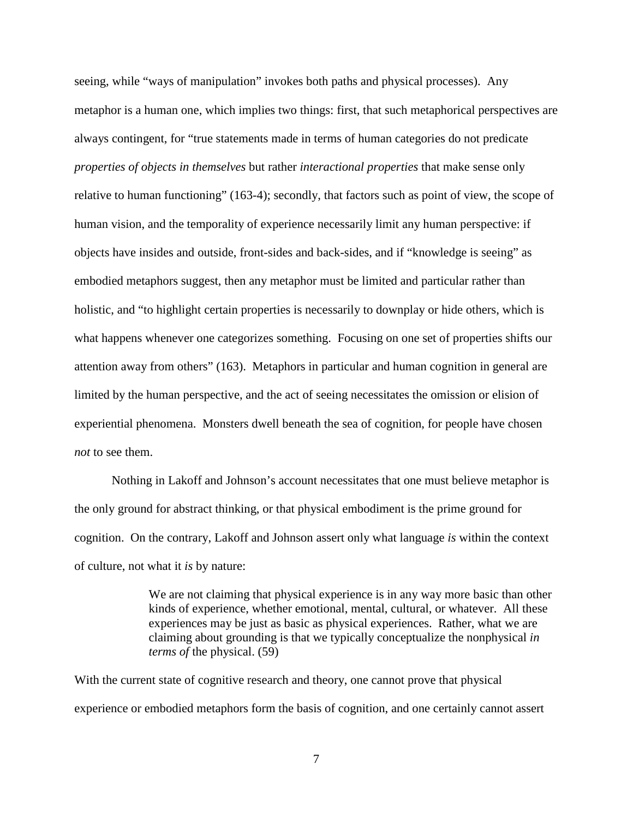seeing, while "ways of manipulation" invokes both paths and physical processes). Any metaphor is a human one, which implies two things: first, that such metaphorical perspectives are always contingent, for "true statements made in terms of human categories do not predicate *properties of objects in themselves* but rather *interactional properties* that make sense only relative to human functioning" (163-4); secondly, that factors such as point of view, the scope of human vision, and the temporality of experience necessarily limit any human perspective: if objects have insides and outside, front-sides and back-sides, and if "knowledge is seeing" as embodied metaphors suggest, then any metaphor must be limited and particular rather than holistic, and "to highlight certain properties is necessarily to downplay or hide others, which is what happens whenever one categorizes something. Focusing on one set of properties shifts our attention away from others" (163). Metaphors in particular and human cognition in general are limited by the human perspective, and the act of seeing necessitates the omission or elision of experiential phenomena. Monsters dwell beneath the sea of cognition, for people have chosen *not* to see them.

Nothing in Lakoff and Johnson's account necessitates that one must believe metaphor is the only ground for abstract thinking, or that physical embodiment is the prime ground for cognition. On the contrary, Lakoff and Johnson assert only what language *is* within the context of culture, not what it *is* by nature:

> We are not claiming that physical experience is in any way more basic than other kinds of experience, whether emotional, mental, cultural, or whatever. All these experiences may be just as basic as physical experiences. Rather, what we are claiming about grounding is that we typically conceptualize the nonphysical *in terms of* the physical. (59)

With the current state of cognitive research and theory, one cannot prove that physical experience or embodied metaphors form the basis of cognition, and one certainly cannot assert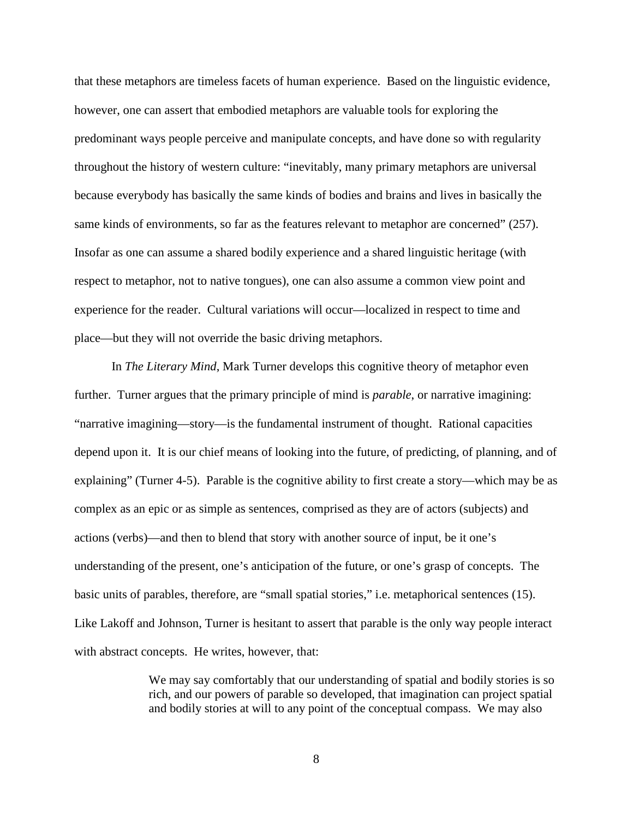that these metaphors are timeless facets of human experience. Based on the linguistic evidence, however, one can assert that embodied metaphors are valuable tools for exploring the predominant ways people perceive and manipulate concepts, and have done so with regularity throughout the history of western culture: "inevitably, many primary metaphors are universal because everybody has basically the same kinds of bodies and brains and lives in basically the same kinds of environments, so far as the features relevant to metaphor are concerned" (257). Insofar as one can assume a shared bodily experience and a shared linguistic heritage (with respect to metaphor, not to native tongues), one can also assume a common view point and experience for the reader. Cultural variations will occur—localized in respect to time and place—but they will not override the basic driving metaphors.

In *The Literary Mind*, Mark Turner develops this cognitive theory of metaphor even further. Turner argues that the primary principle of mind is *parable*, or narrative imagining: "narrative imagining—story—is the fundamental instrument of thought. Rational capacities depend upon it. It is our chief means of looking into the future, of predicting, of planning, and of explaining" (Turner 4-5). Parable is the cognitive ability to first create a story—which may be as complex as an epic or as simple as sentences, comprised as they are of actors (subjects) and actions (verbs)—and then to blend that story with another source of input, be it one's understanding of the present, one's anticipation of the future, or one's grasp of concepts. The basic units of parables, therefore, are "small spatial stories," i.e. metaphorical sentences (15). Like Lakoff and Johnson, Turner is hesitant to assert that parable is the only way people interact with abstract concepts. He writes, however, that:

> We may say comfortably that our understanding of spatial and bodily stories is so rich, and our powers of parable so developed, that imagination can project spatial and bodily stories at will to any point of the conceptual compass. We may also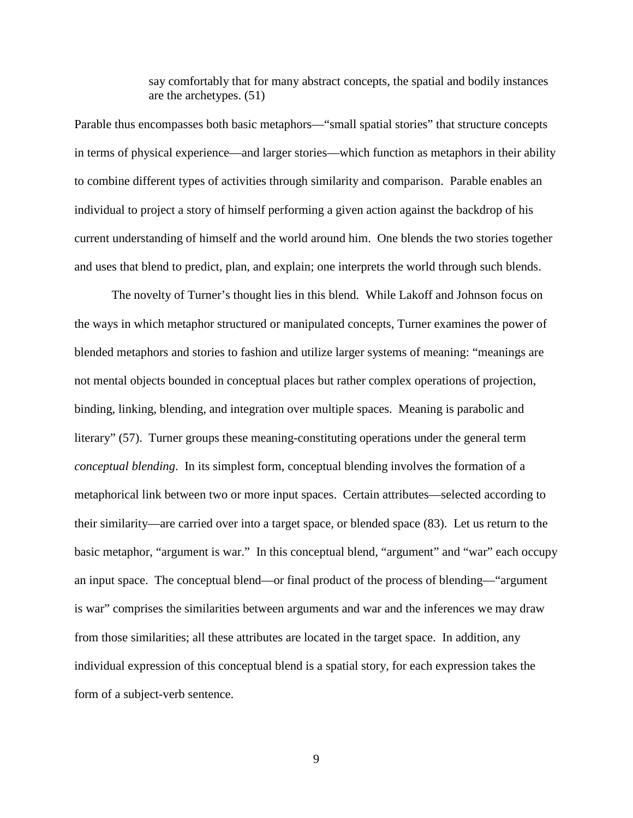say comfortably that for many abstract concepts, the spatial and bodily instances are the archetypes. (51)

Parable thus encompasses both basic metaphors—"small spatial stories" that structure concepts in terms of physical experience—and larger stories—which function as metaphors in their ability to combine different types of activities through similarity and comparison. Parable enables an individual to project a story of himself performing a given action against the backdrop of his current understanding of himself and the world around him. One blends the two stories together and uses that blend to predict, plan, and explain; one interprets the world through such blends.

The novelty of Turner's thought lies in this blend. While Lakoff and Johnson focus on the ways in which metaphor structured or manipulated concepts, Turner examines the power of blended metaphors and stories to fashion and utilize larger systems of meaning: "meanings are not mental objects bounded in conceptual places but rather complex operations of projection, binding, linking, blending, and integration over multiple spaces. Meaning is parabolic and literary" (57). Turner groups these meaning-constituting operations under the general term *conceptual blending*. In its simplest form, conceptual blending involves the formation of a metaphorical link between two or more input spaces. Certain attributes—selected according to their similarity—are carried over into a target space, or blended space (83). Let us return to the basic metaphor, "argument is war." In this conceptual blend, "argument" and "war" each occupy an input space. The conceptual blend—or final product of the process of blending—"argument is war" comprises the similarities between arguments and war and the inferences we may draw from those similarities; all these attributes are located in the target space. In addition, any individual expression of this conceptual blend is a spatial story, for each expression takes the form of a subject-verb sentence.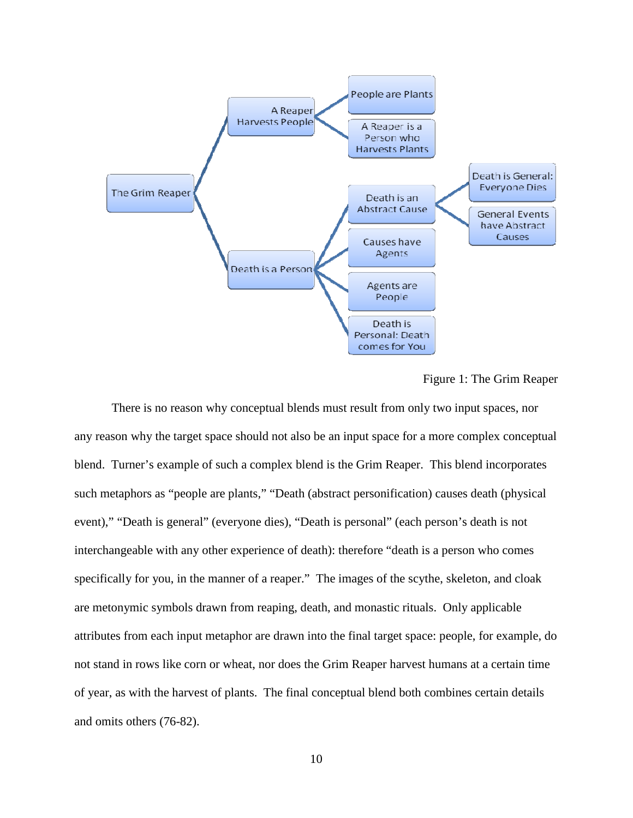

Figure 1: The Grim Reaper

There is no reason why conceptual blends must result from only two input spaces, nor any reason why the target space should not also be an input space for a more complex conceptual blend. Turner's example of such a complex blend is the Grim Reaper. This blend incorporates such metaphors as "people are plants," "Death (abstract personification) causes death (physical event)," "Death is general" (everyone dies), "Death is personal" (each person's death is not interchangeable with any other experience of death): therefore "death is a person who comes specifically for you, in the manner of a reaper." The images of the scythe, skeleton, and cloak are metonymic symbols drawn from reaping, death, and monastic rituals. Only applicable attributes from each input metaphor are drawn into the final target space: people, for example, do not stand in rows like corn or wheat, nor does the Grim Reaper harvest humans at a certain time of year, as with the harvest of plants. The final conceptual blend both combines certain details and omits others (76-82).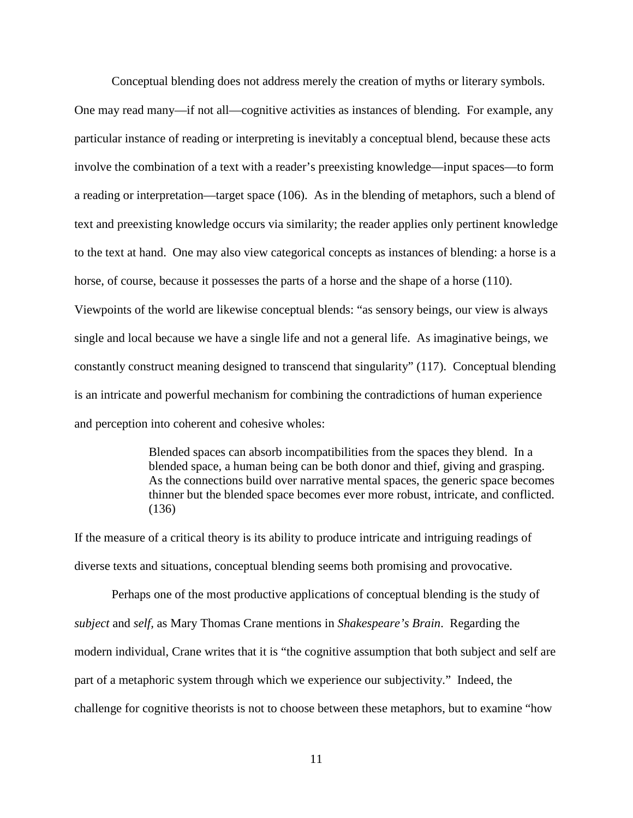Conceptual blending does not address merely the creation of myths or literary symbols.

One may read many—if not all—cognitive activities as instances of blending. For example, any particular instance of reading or interpreting is inevitably a conceptual blend, because these acts involve the combination of a text with a reader's preexisting knowledge—input spaces—to form a reading or interpretation—target space (106). As in the blending of metaphors, such a blend of text and preexisting knowledge occurs via similarity; the reader applies only pertinent knowledge to the text at hand. One may also view categorical concepts as instances of blending: a horse is a horse, of course, because it possesses the parts of a horse and the shape of a horse (110). Viewpoints of the world are likewise conceptual blends: "as sensory beings, our view is always single and local because we have a single life and not a general life. As imaginative beings, we constantly construct meaning designed to transcend that singularity" (117). Conceptual blending is an intricate and powerful mechanism for combining the contradictions of human experience and perception into coherent and cohesive wholes:

> Blended spaces can absorb incompatibilities from the spaces they blend. In a blended space, a human being can be both donor and thief, giving and grasping. As the connections build over narrative mental spaces, the generic space becomes thinner but the blended space becomes ever more robust, intricate, and conflicted.  $(136)$

If the measure of a critical theory is its ability to produce intricate and intriguing readings of diverse texts and situations, conceptual blending seems both promising and provocative.

Perhaps one of the most productive applications of conceptual blending is the study of *subject* and *self,* as Mary Thomas Crane mentions in *Shakespeare's Brain*. Regarding the modern individual, Crane writes that it is "the cognitive assumption that both subject and self are part of a metaphoric system through which we experience our subjectivity." Indeed, the challenge for cognitive theorists is not to choose between these metaphors, but to examine "how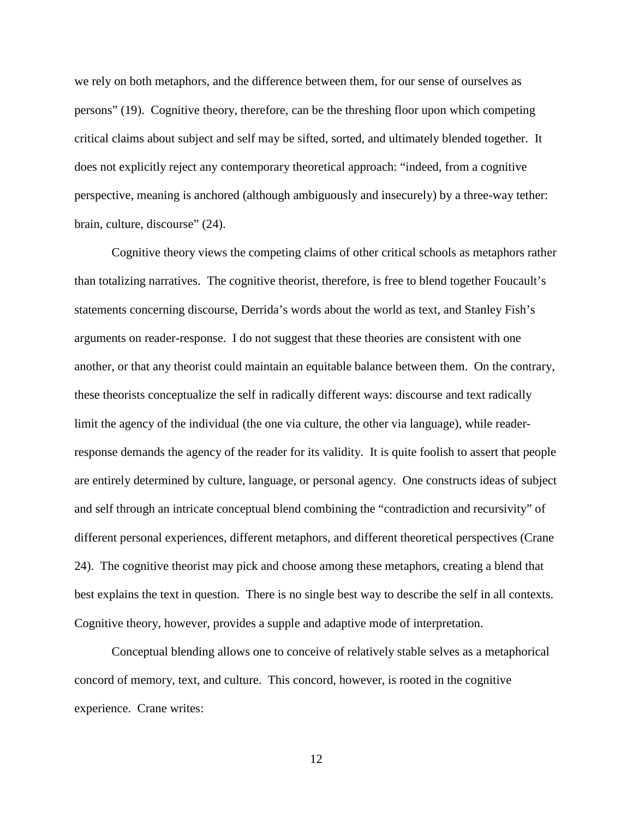we rely on both metaphors, and the difference between them, for our sense of ourselves as persons" (19). Cognitive theory, therefore, can be the threshing floor upon which competing critical claims about subject and self may be sifted, sorted, and ultimately blended together. It does not explicitly reject any contemporary theoretical approach: "indeed, from a cognitive perspective, meaning is anchored (although ambiguously and insecurely) by a three-way tether: brain, culture, discourse" (24).

Cognitive theory views the competing claims of other critical schools as metaphors rather than totalizing narratives. The cognitive theorist, therefore, is free to blend together Foucault's statements concerning discourse, Derrida's words about the world as text, and Stanley Fish's arguments on reader-response. I do not suggest that these theories are consistent with one another, or that any theorist could maintain an equitable balance between them. On the contrary, these theorists conceptualize the self in radically different ways: discourse and text radically limit the agency of the individual (the one via culture, the other via language), while readerresponse demands the agency of the reader for its validity. It is quite foolish to assert that people are entirely determined by culture, language, or personal agency. One constructs ideas of subject and self through an intricate conceptual blend combining the "contradiction and recursivity" of different personal experiences, different metaphors, and different theoretical perspectives (Crane 24). The cognitive theorist may pick and choose among these metaphors, creating a blend that best explains the text in question. There is no single best way to describe the self in all contexts. Cognitive theory, however, provides a supple and adaptive mode of interpretation.

Conceptual blending allows one to conceive of relatively stable selves as a metaphorical concord of memory, text, and culture. This concord, however, is rooted in the cognitive experience. Crane writes: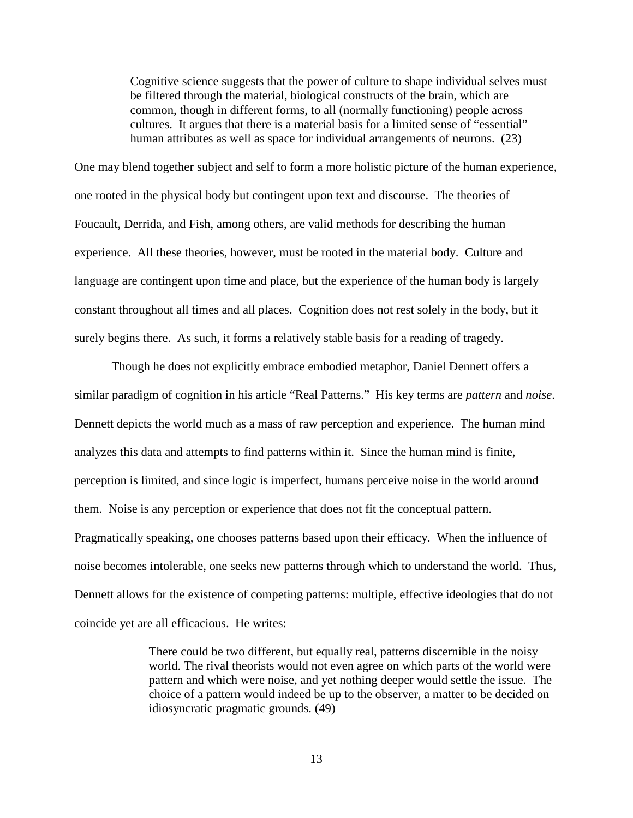Cognitive science suggests that the power of culture to shape individual selves must be filtered through the material, biological constructs of the brain, which are common, though in different forms, to all (normally functioning) people across cultures. It argues that there is a material basis for a limited sense of "essential" human attributes as well as space for individual arrangements of neurons. (23)

One may blend together subject and self to form a more holistic picture of the human experience, one rooted in the physical body but contingent upon text and discourse. The theories of Foucault, Derrida, and Fish, among others, are valid methods for describing the human experience. All these theories, however, must be rooted in the material body. Culture and language are contingent upon time and place, but the experience of the human body is largely constant throughout all times and all places. Cognition does not rest solely in the body, but it surely begins there. As such, it forms a relatively stable basis for a reading of tragedy.

Though he does not explicitly embrace embodied metaphor, Daniel Dennett offers a similar paradigm of cognition in his article "Real Patterns." His key terms are *pattern* and *noise*. Dennett depicts the world much as a mass of raw perception and experience. The human mind analyzes this data and attempts to find patterns within it. Since the human mind is finite, perception is limited, and since logic is imperfect, humans perceive noise in the world around them. Noise is any perception or experience that does not fit the conceptual pattern. Pragmatically speaking, one chooses patterns based upon their efficacy. When the influence of noise becomes intolerable, one seeks new patterns through which to understand the world. Thus, Dennett allows for the existence of competing patterns: multiple, effective ideologies that do not coincide yet are all efficacious. He writes:

> There could be two different, but equally real, patterns discernible in the noisy world. The rival theorists would not even agree on which parts of the world were pattern and which were noise, and yet nothing deeper would settle the issue. The choice of a pattern would indeed be up to the observer, a matter to be decided on idiosyncratic pragmatic grounds. (49)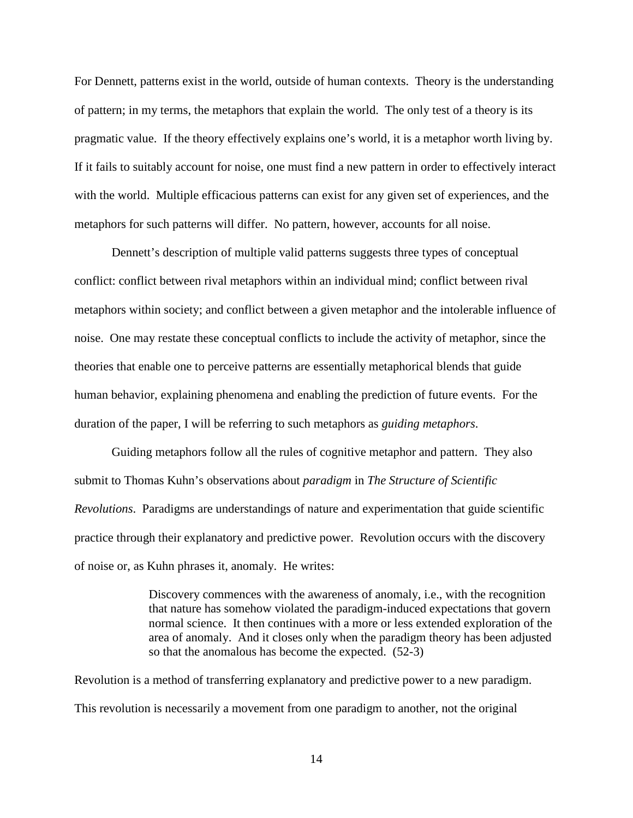For Dennett, patterns exist in the world, outside of human contexts. Theory is the understanding of pattern; in my terms, the metaphors that explain the world. The only test of a theory is its pragmatic value. If the theory effectively explains one's world, it is a metaphor worth living by. If it fails to suitably account for noise, one must find a new pattern in order to effectively interact with the world. Multiple efficacious patterns can exist for any given set of experiences, and the metaphors for such patterns will differ. No pattern, however, accounts for all noise.

Dennett's description of multiple valid patterns suggests three types of conceptual conflict: conflict between rival metaphors within an individual mind; conflict between rival metaphors within society; and conflict between a given metaphor and the intolerable influence of noise. One may restate these conceptual conflicts to include the activity of metaphor, since the theories that enable one to perceive patterns are essentially metaphorical blends that guide human behavior, explaining phenomena and enabling the prediction of future events. For the duration of the paper, I will be referring to such metaphors as *guiding metaphors*.

Guiding metaphors follow all the rules of cognitive metaphor and pattern. They also submit to Thomas Kuhn's observations about *paradigm* in *The Structure of Scientific Revolutions*. Paradigms are understandings of nature and experimentation that guide scientific practice through their explanatory and predictive power. Revolution occurs with the discovery of noise or, as Kuhn phrases it, anomaly. He writes:

> Discovery commences with the awareness of anomaly, i.e., with the recognition that nature has somehow violated the paradigm-induced expectations that govern normal science. It then continues with a more or less extended exploration of the area of anomaly. And it closes only when the paradigm theory has been adjusted so that the anomalous has become the expected. (52-3)

Revolution is a method of transferring explanatory and predictive power to a new paradigm. This revolution is necessarily a movement from one paradigm to another, not the original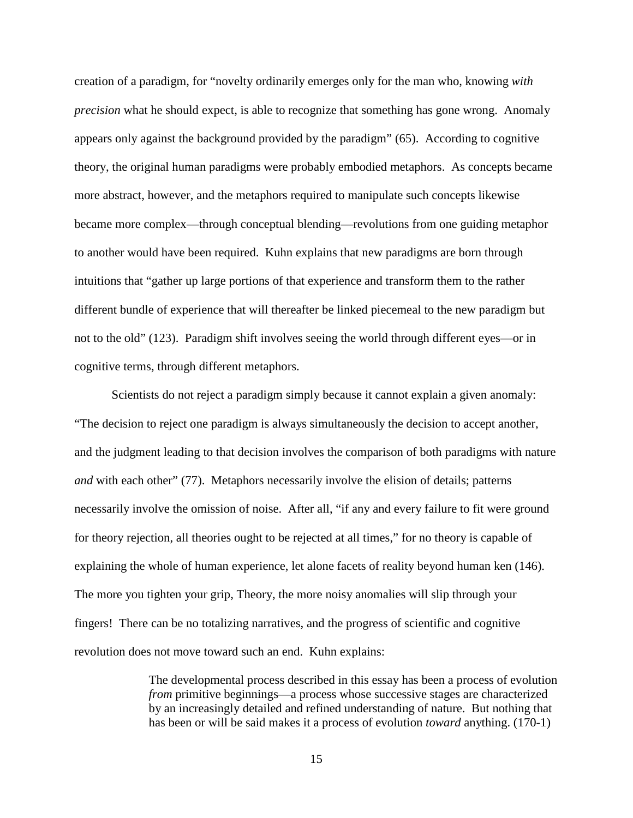creation of a paradigm, for "novelty ordinarily emerges only for the man who, knowing *with precision* what he should expect, is able to recognize that something has gone wrong. Anomaly appears only against the background provided by the paradigm" (65). According to cognitive theory, the original human paradigms were probably embodied metaphors. As concepts became more abstract, however, and the metaphors required to manipulate such concepts likewise became more complex—through conceptual blending—revolutions from one guiding metaphor to another would have been required. Kuhn explains that new paradigms are born through intuitions that "gather up large portions of that experience and transform them to the rather different bundle of experience that will thereafter be linked piecemeal to the new paradigm but not to the old" (123). Paradigm shift involves seeing the world through different eyes—or in cognitive terms, through different metaphors.

Scientists do not reject a paradigm simply because it cannot explain a given anomaly: "The decision to reject one paradigm is always simultaneously the decision to accept another, and the judgment leading to that decision involves the comparison of both paradigms with nature *and* with each other" (77). Metaphors necessarily involve the elision of details; patterns necessarily involve the omission of noise. After all, "if any and every failure to fit were ground for theory rejection, all theories ought to be rejected at all times," for no theory is capable of explaining the whole of human experience, let alone facets of reality beyond human ken (146). The more you tighten your grip, Theory, the more noisy anomalies will slip through your fingers! There can be no totalizing narratives, and the progress of scientific and cognitive revolution does not move toward such an end. Kuhn explains:

> The developmental process described in this essay has been a process of evolution *from* primitive beginnings—a process whose successive stages are characterized by an increasingly detailed and refined understanding of nature. But nothing that has been or will be said makes it a process of evolution *toward* anything. (170-1)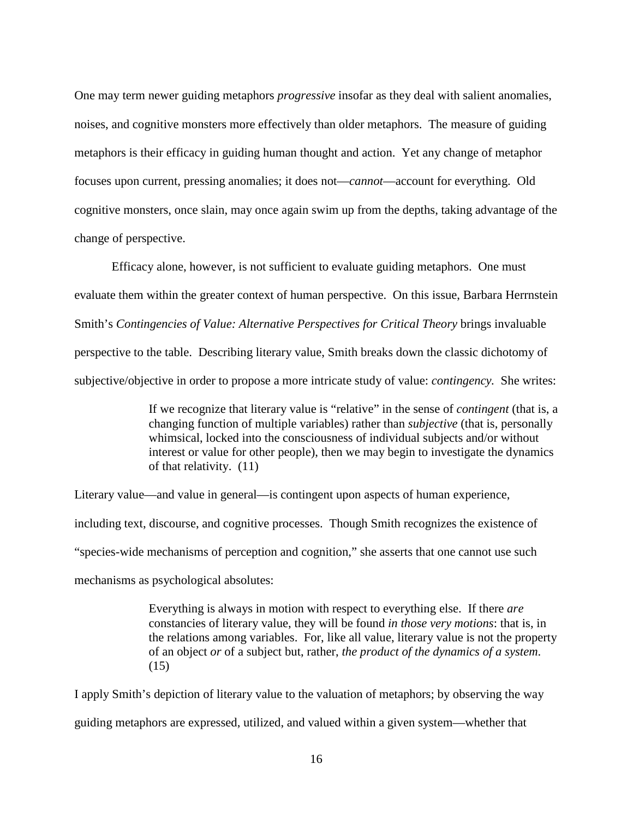One may term newer guiding metaphors *progressive* insofar as they deal with salient anomalies, noises, and cognitive monsters more effectively than older metaphors. The measure of guiding metaphors is their efficacy in guiding human thought and action. Yet any change of metaphor focuses upon current, pressing anomalies; it does not—*cannot*—account for everything. Old cognitive monsters, once slain, may once again swim up from the depths, taking advantage of the change of perspective.

Efficacy alone, however, is not sufficient to evaluate guiding metaphors. One must evaluate them within the greater context of human perspective. On this issue, Barbara Herrnstein Smith's *Contingencies of Value: Alternative Perspectives for Critical Theory* brings invaluable perspective to the table. Describing literary value, Smith breaks down the classic dichotomy of subjective/objective in order to propose a more intricate study of value: *contingency.* She writes:

> If we recognize that literary value is "relative" in the sense of *contingent* (that is, a changing function of multiple variables) rather than *subjective* (that is, personally whimsical, locked into the consciousness of individual subjects and/or without interest or value for other people), then we may begin to investigate the dynamics of that relativity. (11)

Literary value—and value in general—is contingent upon aspects of human experience,

including text, discourse, and cognitive processes. Though Smith recognizes the existence of

"species-wide mechanisms of perception and cognition," she asserts that one cannot use such

mechanisms as psychological absolutes:

Everything is always in motion with respect to everything else. If there *are*  constancies of literary value, they will be found *in those very motions*: that is, in the relations among variables. For, like all value, literary value is not the property of an object *or* of a subject but, rather, *the product of the dynamics of a system*. (15)

I apply Smith's depiction of literary value to the valuation of metaphors; by observing the way guiding metaphors are expressed, utilized, and valued within a given system—whether that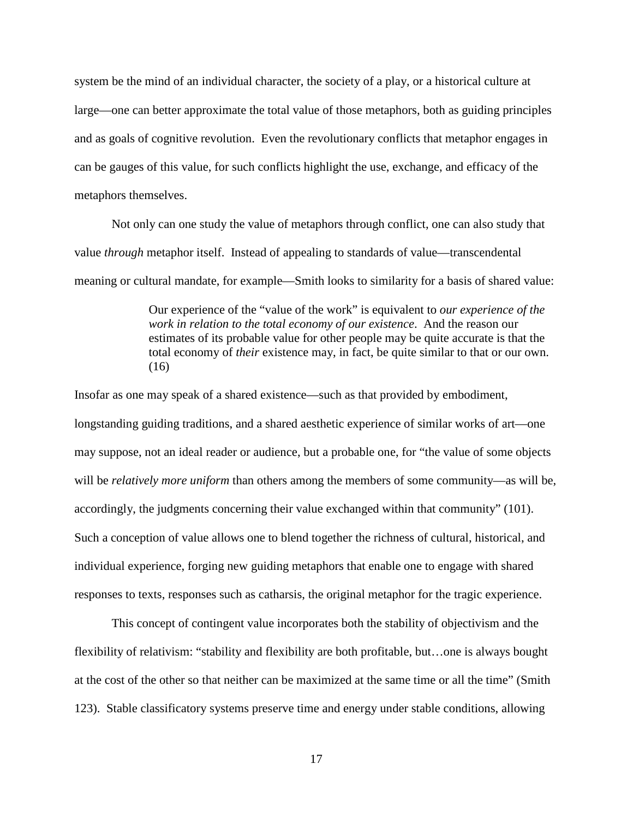system be the mind of an individual character, the society of a play, or a historical culture at large—one can better approximate the total value of those metaphors, both as guiding principles and as goals of cognitive revolution. Even the revolutionary conflicts that metaphor engages in can be gauges of this value, for such conflicts highlight the use, exchange, and efficacy of the metaphors themselves.

Not only can one study the value of metaphors through conflict, one can also study that value *through* metaphor itself. Instead of appealing to standards of value—transcendental meaning or cultural mandate, for example—Smith looks to similarity for a basis of shared value:

> Our experience of the "value of the work" is equivalent to *our experience of the work in relation to the total economy of our existence*. And the reason our estimates of its probable value for other people may be quite accurate is that the total economy of *their* existence may, in fact, be quite similar to that or our own.  $(16)$

Insofar as one may speak of a shared existence—such as that provided by embodiment, longstanding guiding traditions, and a shared aesthetic experience of similar works of art—one may suppose, not an ideal reader or audience, but a probable one, for "the value of some objects will be *relatively more uniform* than others among the members of some community—as will be, accordingly, the judgments concerning their value exchanged within that community" (101). Such a conception of value allows one to blend together the richness of cultural, historical, and individual experience, forging new guiding metaphors that enable one to engage with shared responses to texts, responses such as catharsis, the original metaphor for the tragic experience.

 This concept of contingent value incorporates both the stability of objectivism and the flexibility of relativism: "stability and flexibility are both profitable, but…one is always bought at the cost of the other so that neither can be maximized at the same time or all the time" (Smith 123). Stable classificatory systems preserve time and energy under stable conditions, allowing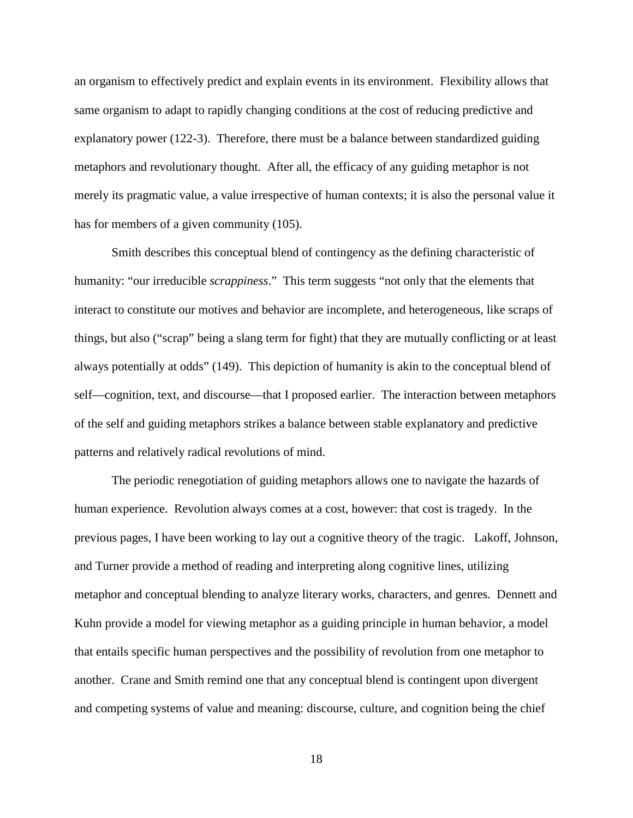an organism to effectively predict and explain events in its environment. Flexibility allows that same organism to adapt to rapidly changing conditions at the cost of reducing predictive and explanatory power (122-3). Therefore, there must be a balance between standardized guiding metaphors and revolutionary thought. After all, the efficacy of any guiding metaphor is not merely its pragmatic value, a value irrespective of human contexts; it is also the personal value it has for members of a given community (105).

Smith describes this conceptual blend of contingency as the defining characteristic of humanity: "our irreducible *scrappiness*." This term suggests "not only that the elements that interact to constitute our motives and behavior are incomplete, and heterogeneous, like scraps of things, but also ("scrap" being a slang term for fight) that they are mutually conflicting or at least always potentially at odds" (149). This depiction of humanity is akin to the conceptual blend of self—cognition, text, and discourse—that I proposed earlier. The interaction between metaphors of the self and guiding metaphors strikes a balance between stable explanatory and predictive patterns and relatively radical revolutions of mind.

The periodic renegotiation of guiding metaphors allows one to navigate the hazards of human experience. Revolution always comes at a cost, however: that cost is tragedy. In the previous pages, I have been working to lay out a cognitive theory of the tragic. Lakoff, Johnson, and Turner provide a method of reading and interpreting along cognitive lines, utilizing metaphor and conceptual blending to analyze literary works, characters, and genres. Dennett and Kuhn provide a model for viewing metaphor as a guiding principle in human behavior, a model that entails specific human perspectives and the possibility of revolution from one metaphor to another. Crane and Smith remind one that any conceptual blend is contingent upon divergent and competing systems of value and meaning: discourse, culture, and cognition being the chief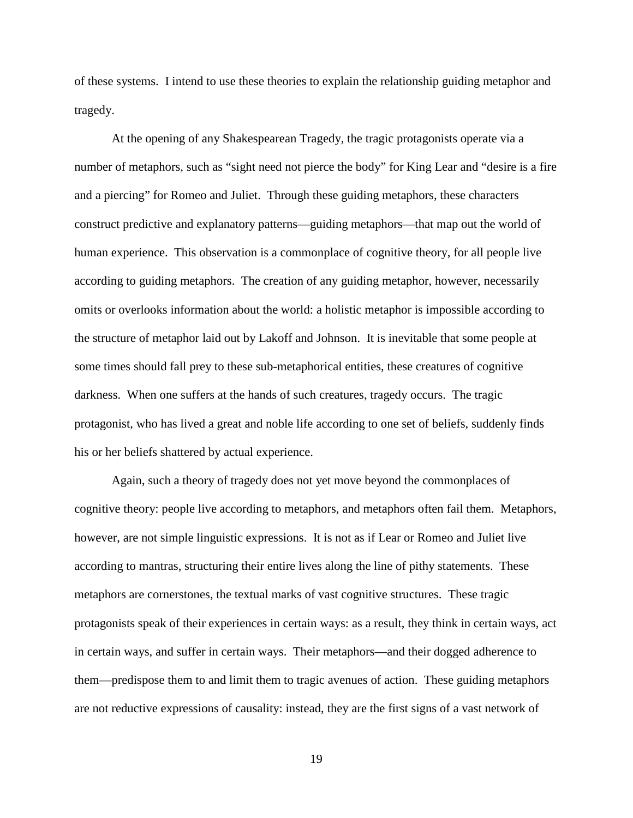of these systems. I intend to use these theories to explain the relationship guiding metaphor and tragedy.

At the opening of any Shakespearean Tragedy, the tragic protagonists operate via a number of metaphors, such as "sight need not pierce the body" for King Lear and "desire is a fire and a piercing" for Romeo and Juliet. Through these guiding metaphors, these characters construct predictive and explanatory patterns—guiding metaphors—that map out the world of human experience. This observation is a commonplace of cognitive theory, for all people live according to guiding metaphors. The creation of any guiding metaphor, however, necessarily omits or overlooks information about the world: a holistic metaphor is impossible according to the structure of metaphor laid out by Lakoff and Johnson. It is inevitable that some people at some times should fall prey to these sub-metaphorical entities, these creatures of cognitive darkness. When one suffers at the hands of such creatures, tragedy occurs. The tragic protagonist, who has lived a great and noble life according to one set of beliefs, suddenly finds his or her beliefs shattered by actual experience.

Again, such a theory of tragedy does not yet move beyond the commonplaces of cognitive theory: people live according to metaphors, and metaphors often fail them. Metaphors, however, are not simple linguistic expressions. It is not as if Lear or Romeo and Juliet live according to mantras, structuring their entire lives along the line of pithy statements. These metaphors are cornerstones, the textual marks of vast cognitive structures. These tragic protagonists speak of their experiences in certain ways: as a result, they think in certain ways, act in certain ways, and suffer in certain ways. Their metaphors—and their dogged adherence to them—predispose them to and limit them to tragic avenues of action. These guiding metaphors are not reductive expressions of causality: instead, they are the first signs of a vast network of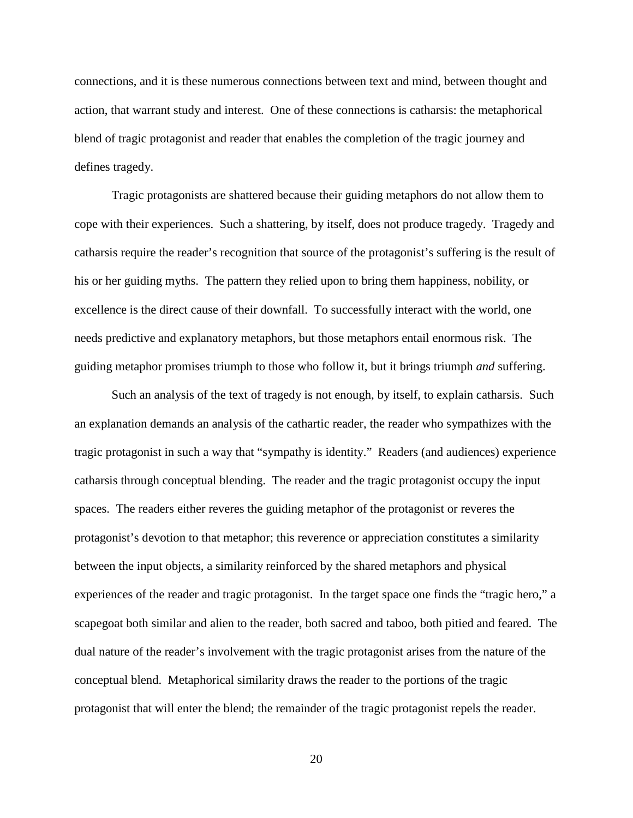connections, and it is these numerous connections between text and mind, between thought and action, that warrant study and interest. One of these connections is catharsis: the metaphorical blend of tragic protagonist and reader that enables the completion of the tragic journey and defines tragedy.

Tragic protagonists are shattered because their guiding metaphors do not allow them to cope with their experiences. Such a shattering, by itself, does not produce tragedy. Tragedy and catharsis require the reader's recognition that source of the protagonist's suffering is the result of his or her guiding myths. The pattern they relied upon to bring them happiness, nobility, or excellence is the direct cause of their downfall. To successfully interact with the world, one needs predictive and explanatory metaphors, but those metaphors entail enormous risk. The guiding metaphor promises triumph to those who follow it, but it brings triumph *and* suffering.

Such an analysis of the text of tragedy is not enough, by itself, to explain catharsis. Such an explanation demands an analysis of the cathartic reader, the reader who sympathizes with the tragic protagonist in such a way that "sympathy is identity." Readers (and audiences) experience catharsis through conceptual blending. The reader and the tragic protagonist occupy the input spaces. The readers either reveres the guiding metaphor of the protagonist or reveres the protagonist's devotion to that metaphor; this reverence or appreciation constitutes a similarity between the input objects, a similarity reinforced by the shared metaphors and physical experiences of the reader and tragic protagonist. In the target space one finds the "tragic hero," a scapegoat both similar and alien to the reader, both sacred and taboo, both pitied and feared. The dual nature of the reader's involvement with the tragic protagonist arises from the nature of the conceptual blend. Metaphorical similarity draws the reader to the portions of the tragic protagonist that will enter the blend; the remainder of the tragic protagonist repels the reader.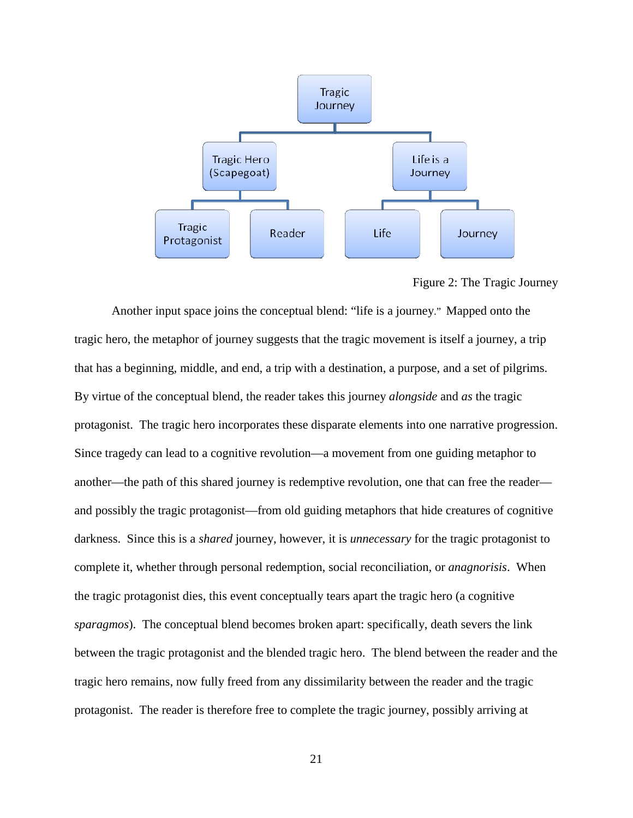

Figure 2: The Tragic Journey

Another input space joins the conceptual blend: "life is a journey." Mapped onto the tragic hero, the metaphor of journey suggests that the tragic movement is itself a journey, a trip that has a beginning, middle, and end, a trip with a destination, a purpose, and a set of pilgrims. By virtue of the conceptual blend, the reader takes this journey *alongside* and *as* the tragic protagonist. The tragic hero incorporates these disparate elements into one narrative progression. Since tragedy can lead to a cognitive revolution—a movement from one guiding metaphor to another—the path of this shared journey is redemptive revolution, one that can free the reader and possibly the tragic protagonist—from old guiding metaphors that hide creatures of cognitive darkness. Since this is a *shared* journey, however, it is *unnecessary* for the tragic protagonist to complete it, whether through personal redemption, social reconciliation, or *anagnorisis*. When the tragic protagonist dies, this event conceptually tears apart the tragic hero (a cognitive *sparagmos*). The conceptual blend becomes broken apart: specifically, death severs the link between the tragic protagonist and the blended tragic hero. The blend between the reader and the tragic hero remains, now fully freed from any dissimilarity between the reader and the tragic protagonist. The reader is therefore free to complete the tragic journey, possibly arriving at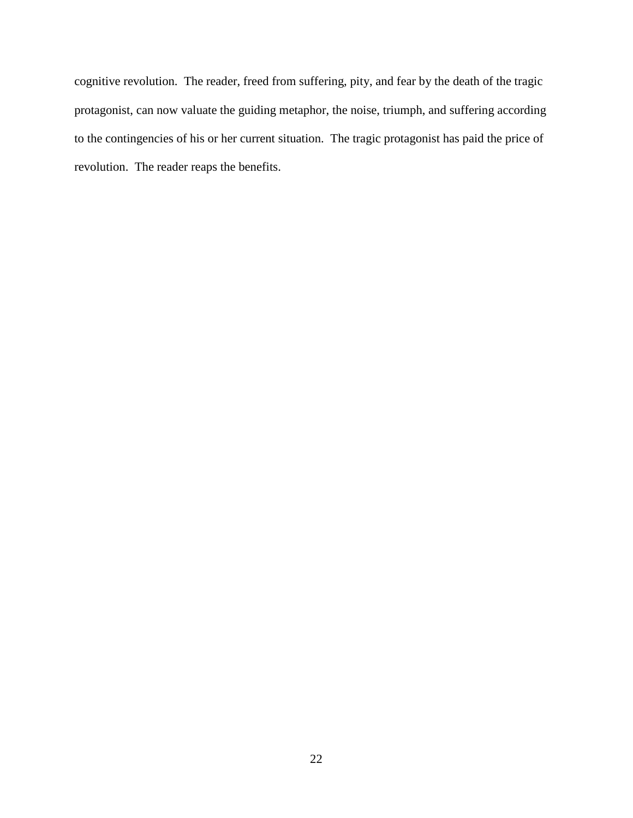cognitive revolution. The reader, freed from suffering, pity, and fear by the death of the tragic protagonist, can now valuate the guiding metaphor, the noise, triumph, and suffering according to the contingencies of his or her current situation. The tragic protagonist has paid the price of revolution. The reader reaps the benefits.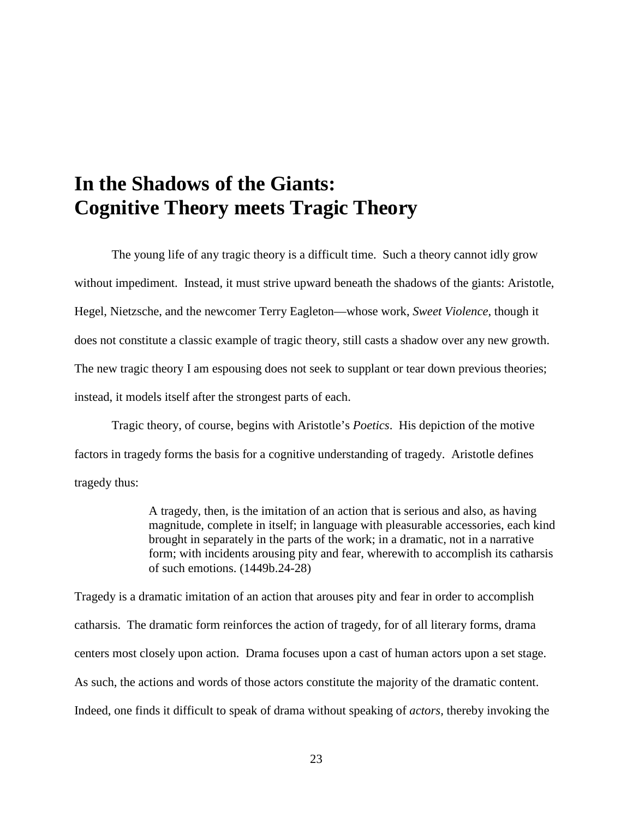# **In the Shadows of the Giants: Cognitive Theory meets Tragic Theory**

The young life of any tragic theory is a difficult time. Such a theory cannot idly grow without impediment. Instead, it must strive upward beneath the shadows of the giants: Aristotle, Hegel, Nietzsche, and the newcomer Terry Eagleton—whose work, *Sweet Violence*, though it does not constitute a classic example of tragic theory, still casts a shadow over any new growth. The new tragic theory I am espousing does not seek to supplant or tear down previous theories; instead, it models itself after the strongest parts of each.

Tragic theory, of course, begins with Aristotle's *Poetics*. His depiction of the motive factors in tragedy forms the basis for a cognitive understanding of tragedy. Aristotle defines tragedy thus:

> A tragedy, then, is the imitation of an action that is serious and also, as having magnitude, complete in itself; in language with pleasurable accessories, each kind brought in separately in the parts of the work; in a dramatic, not in a narrative form; with incidents arousing pity and fear, wherewith to accomplish its catharsis of such emotions. (1449b.24-28)

Tragedy is a dramatic imitation of an action that arouses pity and fear in order to accomplish catharsis. The dramatic form reinforces the action of tragedy, for of all literary forms, drama centers most closely upon action. Drama focuses upon a cast of human actors upon a set stage. As such, the actions and words of those actors constitute the majority of the dramatic content. Indeed, one finds it difficult to speak of drama without speaking of *actors,* thereby invoking the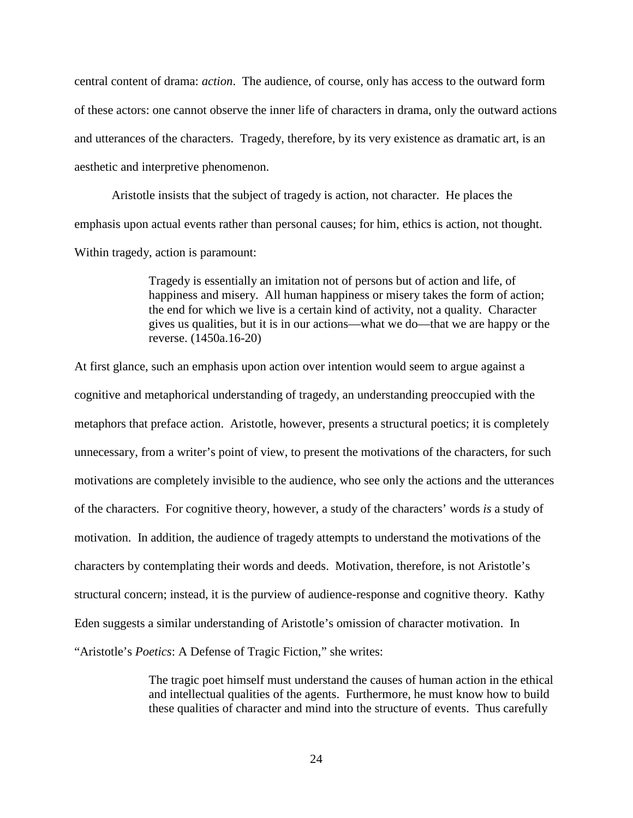central content of drama: *action*. The audience, of course, only has access to the outward form of these actors: one cannot observe the inner life of characters in drama, only the outward actions and utterances of the characters. Tragedy, therefore, by its very existence as dramatic art, is an aesthetic and interpretive phenomenon.

Aristotle insists that the subject of tragedy is action, not character. He places the emphasis upon actual events rather than personal causes; for him, ethics is action, not thought. Within tragedy, action is paramount:

> Tragedy is essentially an imitation not of persons but of action and life, of happiness and misery. All human happiness or misery takes the form of action; the end for which we live is a certain kind of activity, not a quality. Character gives us qualities, but it is in our actions—what we do—that we are happy or the reverse. (1450a.16-20)

At first glance, such an emphasis upon action over intention would seem to argue against a cognitive and metaphorical understanding of tragedy, an understanding preoccupied with the metaphors that preface action. Aristotle, however, presents a structural poetics; it is completely unnecessary, from a writer's point of view, to present the motivations of the characters, for such motivations are completely invisible to the audience, who see only the actions and the utterances of the characters. For cognitive theory, however, a study of the characters' words *is* a study of motivation. In addition, the audience of tragedy attempts to understand the motivations of the characters by contemplating their words and deeds. Motivation, therefore, is not Aristotle's structural concern; instead, it is the purview of audience-response and cognitive theory. Kathy Eden suggests a similar understanding of Aristotle's omission of character motivation. In "Aristotle's *Poetics*: A Defense of Tragic Fiction," she writes:

> The tragic poet himself must understand the causes of human action in the ethical and intellectual qualities of the agents. Furthermore, he must know how to build these qualities of character and mind into the structure of events. Thus carefully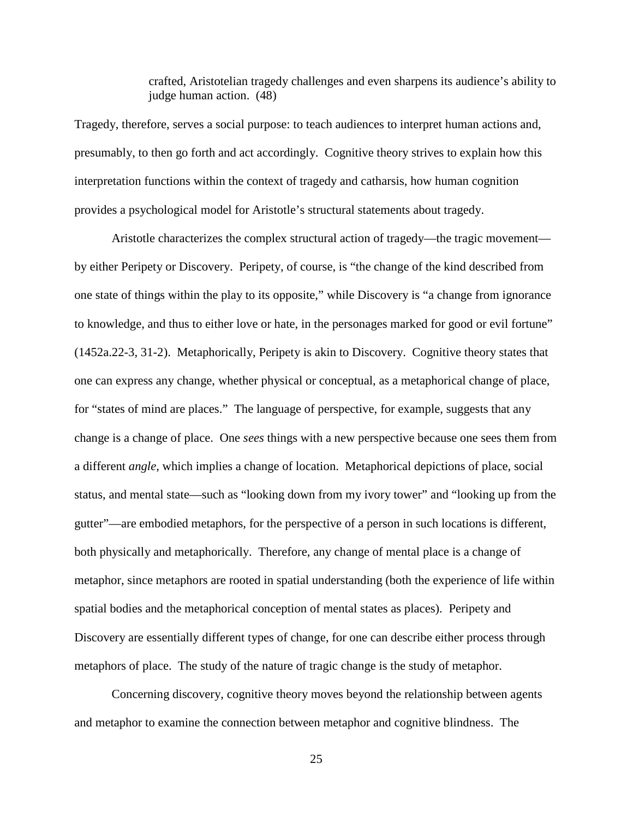crafted, Aristotelian tragedy challenges and even sharpens its audience's ability to judge human action. (48)

Tragedy, therefore, serves a social purpose: to teach audiences to interpret human actions and, presumably, to then go forth and act accordingly. Cognitive theory strives to explain how this interpretation functions within the context of tragedy and catharsis, how human cognition provides a psychological model for Aristotle's structural statements about tragedy.

Aristotle characterizes the complex structural action of tragedy—the tragic movement by either Peripety or Discovery. Peripety, of course, is "the change of the kind described from one state of things within the play to its opposite," while Discovery is "a change from ignorance to knowledge, and thus to either love or hate, in the personages marked for good or evil fortune" (1452a.22-3, 31-2). Metaphorically, Peripety is akin to Discovery. Cognitive theory states that one can express any change, whether physical or conceptual, as a metaphorical change of place, for "states of mind are places." The language of perspective, for example, suggests that any change is a change of place. One *sees* things with a new perspective because one sees them from a different *angle*, which implies a change of location. Metaphorical depictions of place, social status, and mental state—such as "looking down from my ivory tower" and "looking up from the gutter"—are embodied metaphors, for the perspective of a person in such locations is different, both physically and metaphorically. Therefore, any change of mental place is a change of metaphor, since metaphors are rooted in spatial understanding (both the experience of life within spatial bodies and the metaphorical conception of mental states as places). Peripety and Discovery are essentially different types of change, for one can describe either process through metaphors of place. The study of the nature of tragic change is the study of metaphor.

Concerning discovery, cognitive theory moves beyond the relationship between agents and metaphor to examine the connection between metaphor and cognitive blindness. The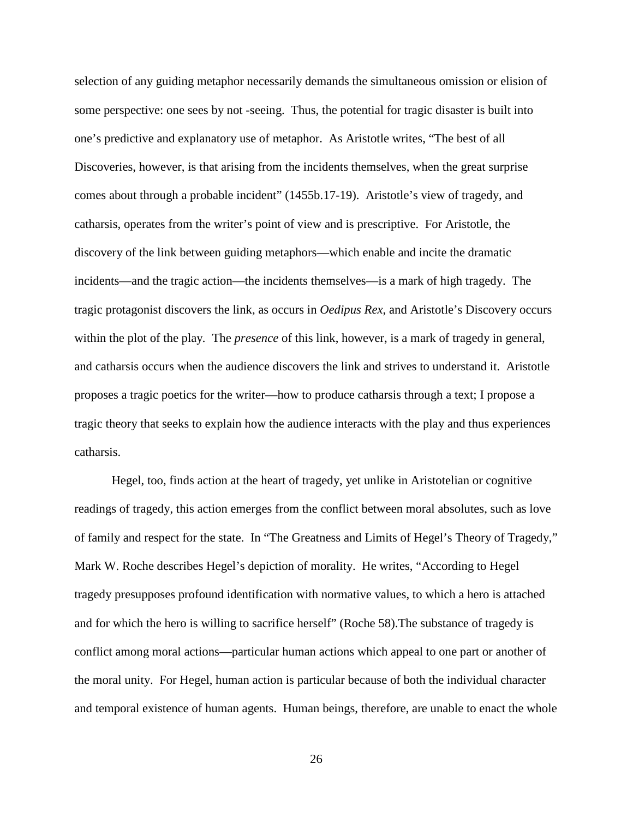selection of any guiding metaphor necessarily demands the simultaneous omission or elision of some perspective: one sees by not -seeing. Thus, the potential for tragic disaster is built into one's predictive and explanatory use of metaphor. As Aristotle writes, "The best of all Discoveries, however, is that arising from the incidents themselves, when the great surprise comes about through a probable incident" (1455b.17-19). Aristotle's view of tragedy, and catharsis, operates from the writer's point of view and is prescriptive. For Aristotle, the discovery of the link between guiding metaphors—which enable and incite the dramatic incidents—and the tragic action—the incidents themselves—is a mark of high tragedy. The tragic protagonist discovers the link, as occurs in *Oedipus Rex*, and Aristotle's Discovery occurs within the plot of the play*.* The *presence* of this link, however, is a mark of tragedy in general, and catharsis occurs when the audience discovers the link and strives to understand it. Aristotle proposes a tragic poetics for the writer—how to produce catharsis through a text; I propose a tragic theory that seeks to explain how the audience interacts with the play and thus experiences catharsis.

Hegel, too, finds action at the heart of tragedy, yet unlike in Aristotelian or cognitive readings of tragedy, this action emerges from the conflict between moral absolutes, such as love of family and respect for the state. In "The Greatness and Limits of Hegel's Theory of Tragedy," Mark W. Roche describes Hegel's depiction of morality. He writes, "According to Hegel tragedy presupposes profound identification with normative values, to which a hero is attached and for which the hero is willing to sacrifice herself" (Roche 58).The substance of tragedy is conflict among moral actions—particular human actions which appeal to one part or another of the moral unity. For Hegel, human action is particular because of both the individual character and temporal existence of human agents. Human beings, therefore, are unable to enact the whole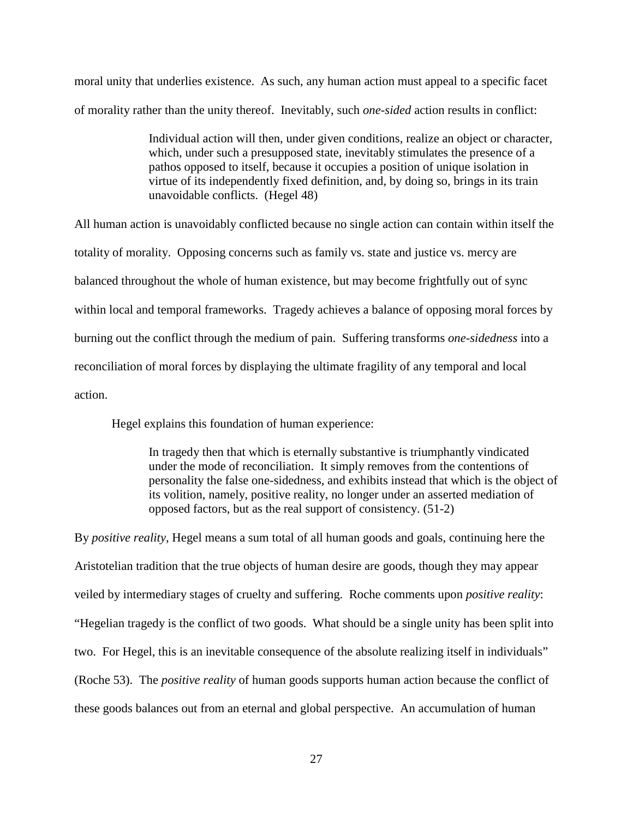moral unity that underlies existence. As such, any human action must appeal to a specific facet of morality rather than the unity thereof. Inevitably, such *one-sided* action results in conflict:

> Individual action will then, under given conditions, realize an object or character, which, under such a presupposed state, inevitably stimulates the presence of a pathos opposed to itself, because it occupies a position of unique isolation in virtue of its independently fixed definition, and, by doing so, brings in its train unavoidable conflicts. (Hegel 48)

All human action is unavoidably conflicted because no single action can contain within itself the totality of morality. Opposing concerns such as family vs. state and justice vs. mercy are balanced throughout the whole of human existence, but may become frightfully out of sync within local and temporal frameworks. Tragedy achieves a balance of opposing moral forces by burning out the conflict through the medium of pain. Suffering transforms *one-sidedness* into a reconciliation of moral forces by displaying the ultimate fragility of any temporal and local action.

Hegel explains this foundation of human experience:

In tragedy then that which is eternally substantive is triumphantly vindicated under the mode of reconciliation. It simply removes from the contentions of personality the false one-sidedness, and exhibits instead that which is the object of its volition, namely, positive reality, no longer under an asserted mediation of opposed factors, but as the real support of consistency. (51-2)

By *positive reality*, Hegel means a sum total of all human goods and goals, continuing here the Aristotelian tradition that the true objects of human desire are goods, though they may appear veiled by intermediary stages of cruelty and suffering. Roche comments upon *positive reality*: "Hegelian tragedy is the conflict of two goods. What should be a single unity has been split into two. For Hegel, this is an inevitable consequence of the absolute realizing itself in individuals" (Roche 53). The *positive reality* of human goods supports human action because the conflict of these goods balances out from an eternal and global perspective. An accumulation of human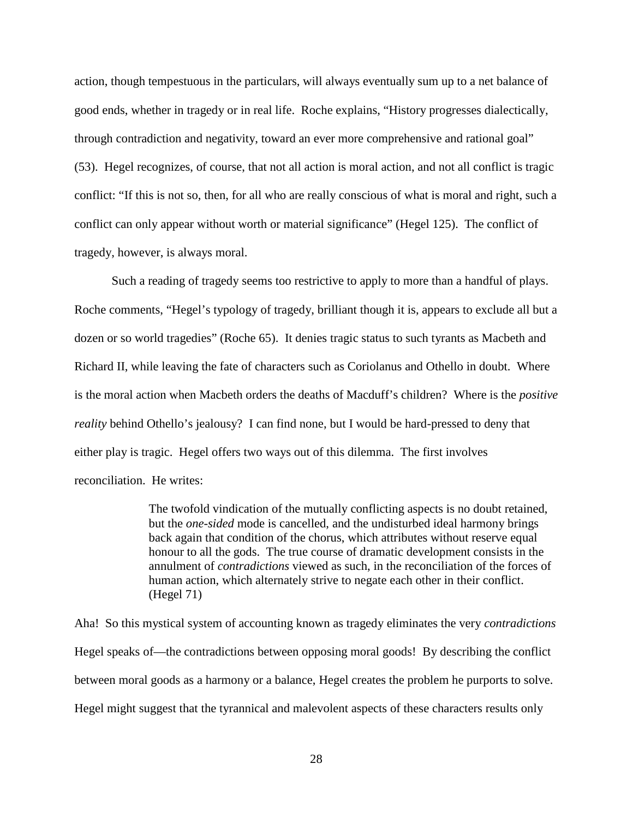action, though tempestuous in the particulars, will always eventually sum up to a net balance of good ends, whether in tragedy or in real life. Roche explains, "History progresses dialectically, through contradiction and negativity, toward an ever more comprehensive and rational goal" (53). Hegel recognizes, of course, that not all action is moral action, and not all conflict is tragic conflict: "If this is not so, then, for all who are really conscious of what is moral and right, such a conflict can only appear without worth or material significance" (Hegel 125). The conflict of tragedy, however, is always moral.

Such a reading of tragedy seems too restrictive to apply to more than a handful of plays. Roche comments, "Hegel's typology of tragedy, brilliant though it is, appears to exclude all but a dozen or so world tragedies" (Roche 65). It denies tragic status to such tyrants as Macbeth and Richard II, while leaving the fate of characters such as Coriolanus and Othello in doubt. Where is the moral action when Macbeth orders the deaths of Macduff's children? Where is the *positive reality* behind Othello's jealousy? I can find none, but I would be hard-pressed to deny that either play is tragic. Hegel offers two ways out of this dilemma. The first involves reconciliation. He writes:

> The twofold vindication of the mutually conflicting aspects is no doubt retained, but the *one-sided* mode is cancelled, and the undisturbed ideal harmony brings back again that condition of the chorus, which attributes without reserve equal honour to all the gods. The true course of dramatic development consists in the annulment of *contradictions* viewed as such, in the reconciliation of the forces of human action, which alternately strive to negate each other in their conflict. (Hegel 71)

Aha! So this mystical system of accounting known as tragedy eliminates the very *contradictions*  Hegel speaks of—the contradictions between opposing moral goods! By describing the conflict between moral goods as a harmony or a balance, Hegel creates the problem he purports to solve. Hegel might suggest that the tyrannical and malevolent aspects of these characters results only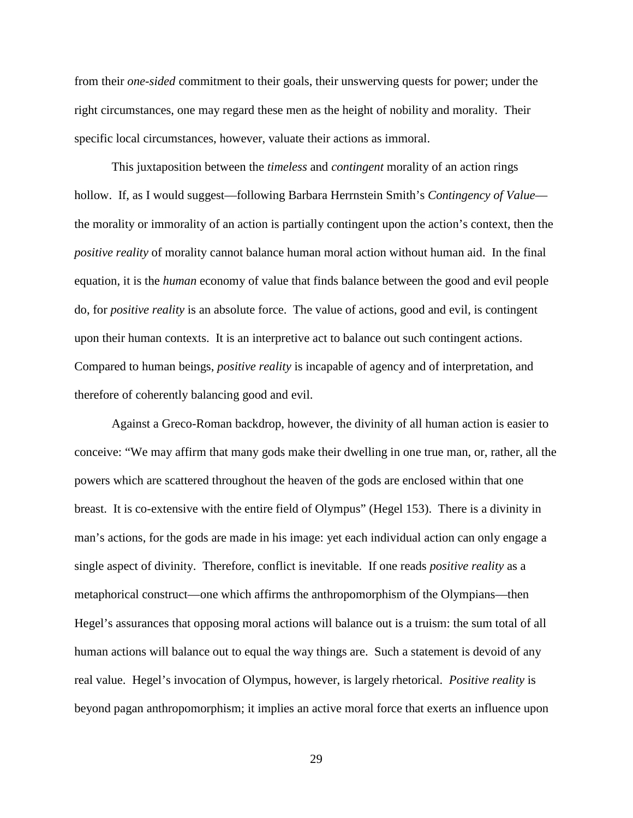from their *one-sided* commitment to their goals, their unswerving quests for power; under the right circumstances, one may regard these men as the height of nobility and morality. Their specific local circumstances, however, valuate their actions as immoral.

This juxtaposition between the *timeless* and *contingent* morality of an action rings hollow. If, as I would suggest—following Barbara Herrnstein Smith's *Contingency of Value* the morality or immorality of an action is partially contingent upon the action's context, then the *positive reality* of morality cannot balance human moral action without human aid. In the final equation, it is the *human* economy of value that finds balance between the good and evil people do, for *positive reality* is an absolute force. The value of actions, good and evil, is contingent upon their human contexts. It is an interpretive act to balance out such contingent actions. Compared to human beings, *positive reality* is incapable of agency and of interpretation, and therefore of coherently balancing good and evil.

Against a Greco-Roman backdrop, however, the divinity of all human action is easier to conceive: "We may affirm that many gods make their dwelling in one true man, or, rather, all the powers which are scattered throughout the heaven of the gods are enclosed within that one breast. It is co-extensive with the entire field of Olympus" (Hegel 153). There is a divinity in man's actions, for the gods are made in his image: yet each individual action can only engage a single aspect of divinity. Therefore, conflict is inevitable. If one reads *positive reality* as a metaphorical construct—one which affirms the anthropomorphism of the Olympians—then Hegel's assurances that opposing moral actions will balance out is a truism: the sum total of all human actions will balance out to equal the way things are. Such a statement is devoid of any real value. Hegel's invocation of Olympus, however, is largely rhetorical. *Positive reality* is beyond pagan anthropomorphism; it implies an active moral force that exerts an influence upon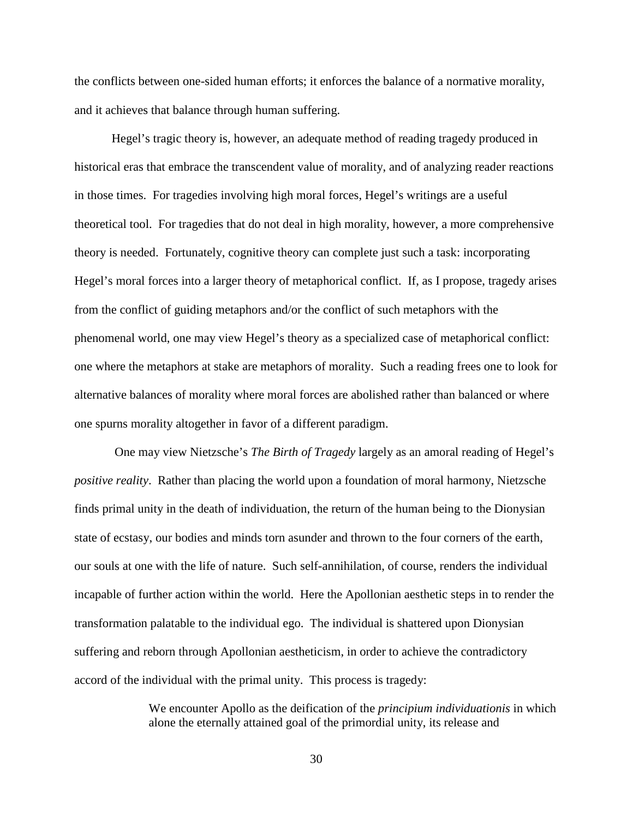the conflicts between one-sided human efforts; it enforces the balance of a normative morality, and it achieves that balance through human suffering.

Hegel's tragic theory is, however, an adequate method of reading tragedy produced in historical eras that embrace the transcendent value of morality, and of analyzing reader reactions in those times. For tragedies involving high moral forces, Hegel's writings are a useful theoretical tool. For tragedies that do not deal in high morality, however, a more comprehensive theory is needed. Fortunately, cognitive theory can complete just such a task: incorporating Hegel's moral forces into a larger theory of metaphorical conflict. If, as I propose, tragedy arises from the conflict of guiding metaphors and/or the conflict of such metaphors with the phenomenal world, one may view Hegel's theory as a specialized case of metaphorical conflict: one where the metaphors at stake are metaphors of morality. Such a reading frees one to look for alternative balances of morality where moral forces are abolished rather than balanced or where one spurns morality altogether in favor of a different paradigm.

 One may view Nietzsche's *The Birth of Tragedy* largely as an amoral reading of Hegel's *positive reality*. Rather than placing the world upon a foundation of moral harmony, Nietzsche finds primal unity in the death of individuation, the return of the human being to the Dionysian state of ecstasy, our bodies and minds torn asunder and thrown to the four corners of the earth, our souls at one with the life of nature. Such self-annihilation, of course, renders the individual incapable of further action within the world. Here the Apollonian aesthetic steps in to render the transformation palatable to the individual ego. The individual is shattered upon Dionysian suffering and reborn through Apollonian aestheticism, in order to achieve the contradictory accord of the individual with the primal unity. This process is tragedy:

> We encounter Apollo as the deification of the *principium individuationis* in which alone the eternally attained goal of the primordial unity, its release and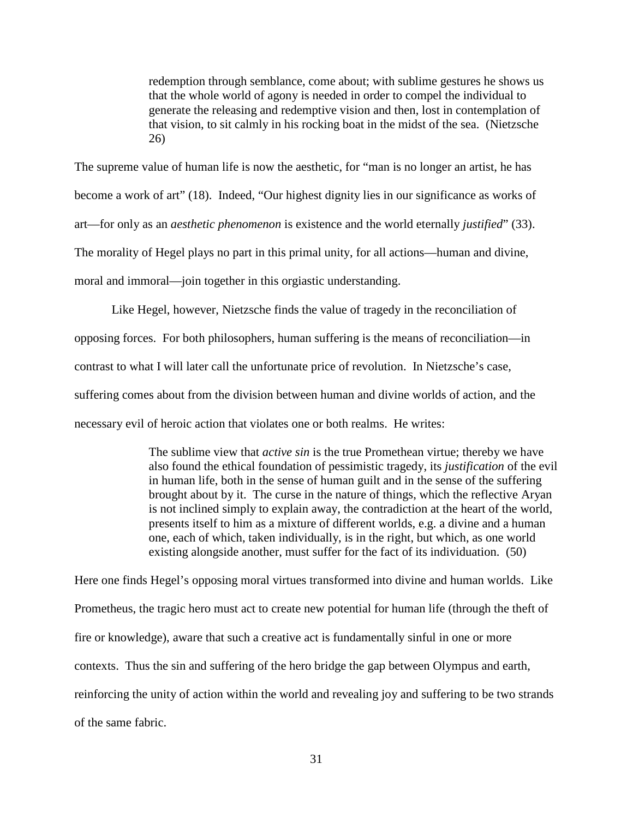redemption through semblance, come about; with sublime gestures he shows us that the whole world of agony is needed in order to compel the individual to generate the releasing and redemptive vision and then, lost in contemplation of that vision, to sit calmly in his rocking boat in the midst of the sea. (Nietzsche 26)

The supreme value of human life is now the aesthetic, for "man is no longer an artist, he has become a work of art" (18). Indeed, "Our highest dignity lies in our significance as works of art—for only as an *aesthetic phenomenon* is existence and the world eternally *justified*" (33). The morality of Hegel plays no part in this primal unity, for all actions—human and divine, moral and immoral—join together in this orgiastic understanding.

Like Hegel, however, Nietzsche finds the value of tragedy in the reconciliation of opposing forces. For both philosophers, human suffering is the means of reconciliation—in contrast to what I will later call the unfortunate price of revolution. In Nietzsche's case, suffering comes about from the division between human and divine worlds of action, and the necessary evil of heroic action that violates one or both realms. He writes:

> The sublime view that *active sin* is the true Promethean virtue; thereby we have also found the ethical foundation of pessimistic tragedy, its *justification* of the evil in human life, both in the sense of human guilt and in the sense of the suffering brought about by it. The curse in the nature of things, which the reflective Aryan is not inclined simply to explain away, the contradiction at the heart of the world, presents itself to him as a mixture of different worlds, e.g. a divine and a human one, each of which, taken individually, is in the right, but which, as one world existing alongside another, must suffer for the fact of its individuation. (50)

Here one finds Hegel's opposing moral virtues transformed into divine and human worlds. Like Prometheus, the tragic hero must act to create new potential for human life (through the theft of fire or knowledge), aware that such a creative act is fundamentally sinful in one or more contexts. Thus the sin and suffering of the hero bridge the gap between Olympus and earth, reinforcing the unity of action within the world and revealing joy and suffering to be two strands of the same fabric.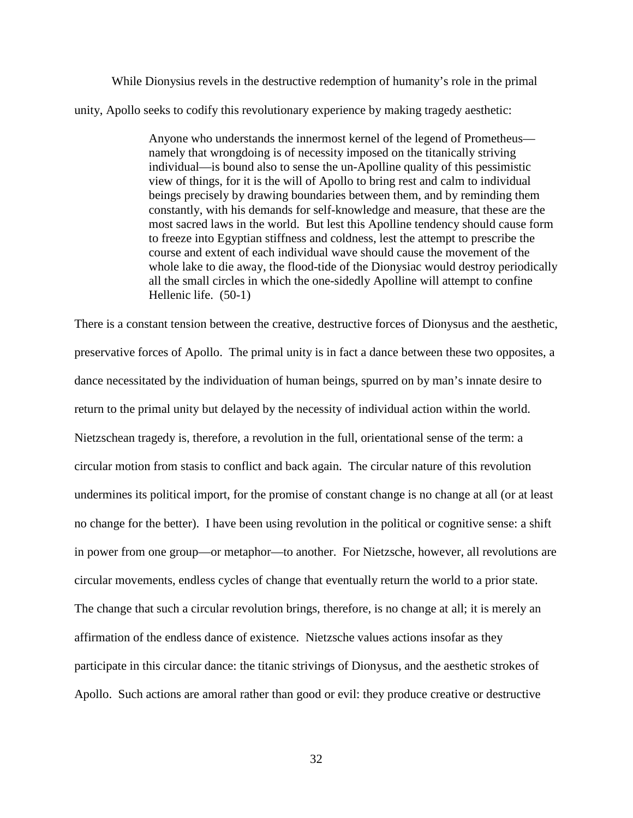While Dionysius revels in the destructive redemption of humanity's role in the primal unity, Apollo seeks to codify this revolutionary experience by making tragedy aesthetic:

> Anyone who understands the innermost kernel of the legend of Prometheus namely that wrongdoing is of necessity imposed on the titanically striving individual—is bound also to sense the un-Apolline quality of this pessimistic view of things, for it is the will of Apollo to bring rest and calm to individual beings precisely by drawing boundaries between them, and by reminding them constantly, with his demands for self-knowledge and measure, that these are the most sacred laws in the world. But lest this Apolline tendency should cause form to freeze into Egyptian stiffness and coldness, lest the attempt to prescribe the course and extent of each individual wave should cause the movement of the whole lake to die away, the flood-tide of the Dionysiac would destroy periodically all the small circles in which the one-sidedly Apolline will attempt to confine Hellenic life. (50-1)

There is a constant tension between the creative, destructive forces of Dionysus and the aesthetic, preservative forces of Apollo. The primal unity is in fact a dance between these two opposites, a dance necessitated by the individuation of human beings, spurred on by man's innate desire to return to the primal unity but delayed by the necessity of individual action within the world. Nietzschean tragedy is, therefore, a revolution in the full, orientational sense of the term: a circular motion from stasis to conflict and back again. The circular nature of this revolution undermines its political import, for the promise of constant change is no change at all (or at least no change for the better). I have been using revolution in the political or cognitive sense: a shift in power from one group—or metaphor—to another. For Nietzsche, however, all revolutions are circular movements, endless cycles of change that eventually return the world to a prior state. The change that such a circular revolution brings, therefore, is no change at all; it is merely an affirmation of the endless dance of existence. Nietzsche values actions insofar as they participate in this circular dance: the titanic strivings of Dionysus, and the aesthetic strokes of Apollo. Such actions are amoral rather than good or evil: they produce creative or destructive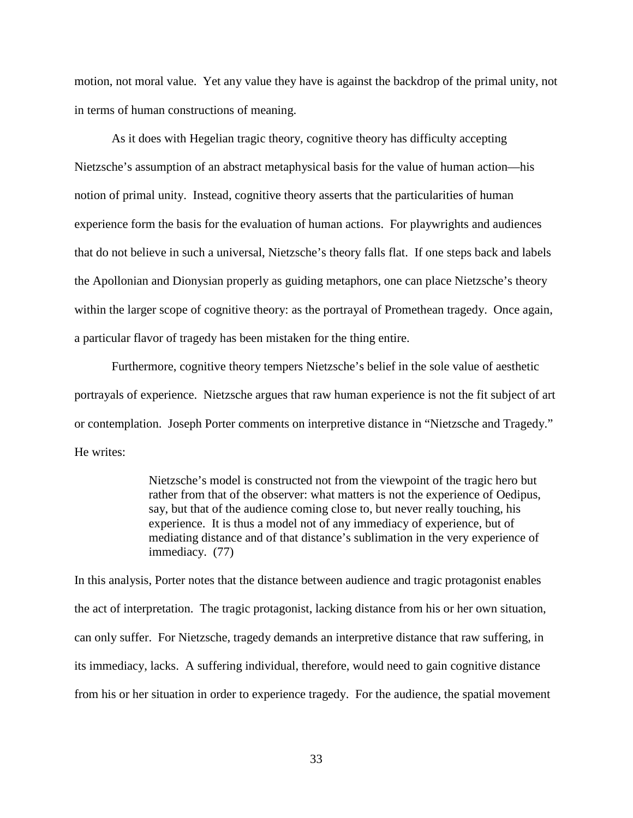motion, not moral value. Yet any value they have is against the backdrop of the primal unity, not in terms of human constructions of meaning.

As it does with Hegelian tragic theory, cognitive theory has difficulty accepting Nietzsche's assumption of an abstract metaphysical basis for the value of human action—his notion of primal unity. Instead, cognitive theory asserts that the particularities of human experience form the basis for the evaluation of human actions. For playwrights and audiences that do not believe in such a universal, Nietzsche's theory falls flat. If one steps back and labels the Apollonian and Dionysian properly as guiding metaphors, one can place Nietzsche's theory within the larger scope of cognitive theory: as the portrayal of Promethean tragedy. Once again, a particular flavor of tragedy has been mistaken for the thing entire.

Furthermore, cognitive theory tempers Nietzsche's belief in the sole value of aesthetic portrayals of experience. Nietzsche argues that raw human experience is not the fit subject of art or contemplation. Joseph Porter comments on interpretive distance in "Nietzsche and Tragedy." He writes:

> Nietzsche's model is constructed not from the viewpoint of the tragic hero but rather from that of the observer: what matters is not the experience of Oedipus, say, but that of the audience coming close to, but never really touching, his experience. It is thus a model not of any immediacy of experience, but of mediating distance and of that distance's sublimation in the very experience of immediacy. (77)

In this analysis, Porter notes that the distance between audience and tragic protagonist enables the act of interpretation. The tragic protagonist, lacking distance from his or her own situation, can only suffer. For Nietzsche, tragedy demands an interpretive distance that raw suffering, in its immediacy, lacks. A suffering individual, therefore, would need to gain cognitive distance from his or her situation in order to experience tragedy. For the audience, the spatial movement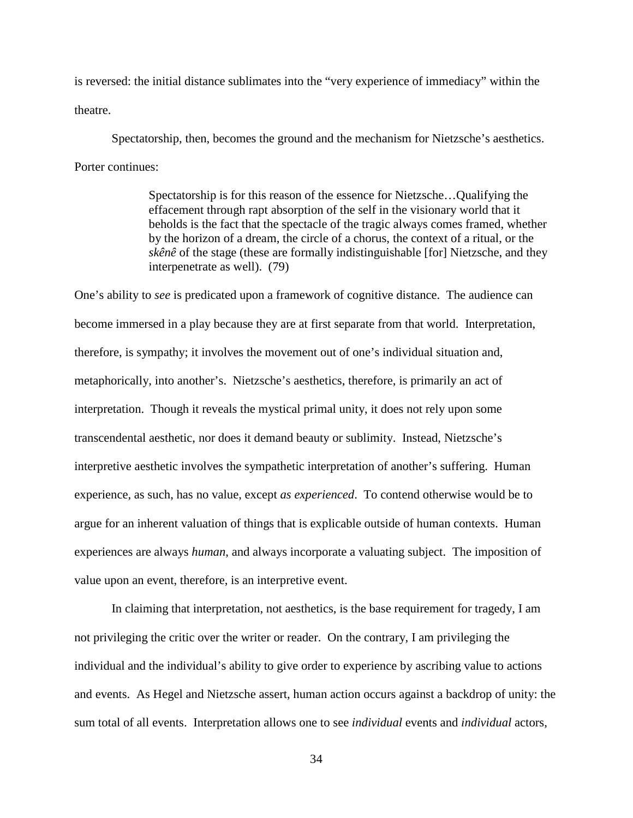is reversed: the initial distance sublimates into the "very experience of immediacy" within the theatre.

Spectatorship, then, becomes the ground and the mechanism for Nietzsche's aesthetics. Porter continues:

> Spectatorship is for this reason of the essence for Nietzsche…Qualifying the effacement through rapt absorption of the self in the visionary world that it beholds is the fact that the spectacle of the tragic always comes framed, whether by the horizon of a dream, the circle of a chorus, the context of a ritual, or the *skênê* of the stage (these are formally indistinguishable [for] Nietzsche, and they interpenetrate as well). (79)

One's ability to *see* is predicated upon a framework of cognitive distance. The audience can become immersed in a play because they are at first separate from that world. Interpretation, therefore, is sympathy; it involves the movement out of one's individual situation and, metaphorically, into another's. Nietzsche's aesthetics, therefore, is primarily an act of interpretation. Though it reveals the mystical primal unity, it does not rely upon some transcendental aesthetic, nor does it demand beauty or sublimity. Instead, Nietzsche's interpretive aesthetic involves the sympathetic interpretation of another's suffering. Human experience, as such, has no value, except *as experienced*. To contend otherwise would be to argue for an inherent valuation of things that is explicable outside of human contexts. Human experiences are always *human*, and always incorporate a valuating subject. The imposition of value upon an event, therefore, is an interpretive event.

In claiming that interpretation, not aesthetics, is the base requirement for tragedy, I am not privileging the critic over the writer or reader. On the contrary, I am privileging the individual and the individual's ability to give order to experience by ascribing value to actions and events. As Hegel and Nietzsche assert, human action occurs against a backdrop of unity: the sum total of all events. Interpretation allows one to see *individual* events and *individual* actors,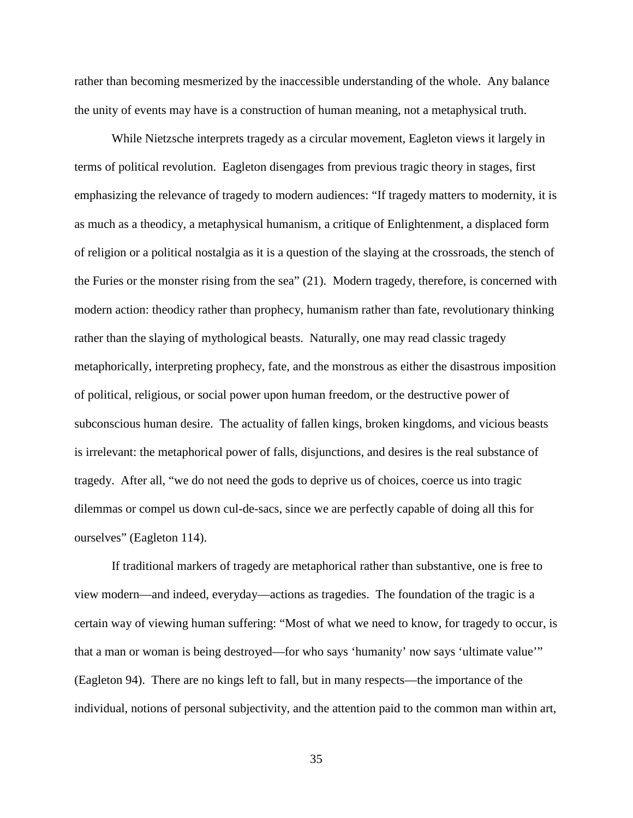rather than becoming mesmerized by the inaccessible understanding of the whole. Any balance the unity of events may have is a construction of human meaning, not a metaphysical truth.

While Nietzsche interprets tragedy as a circular movement, Eagleton views it largely in terms of political revolution. Eagleton disengages from previous tragic theory in stages, first emphasizing the relevance of tragedy to modern audiences: "If tragedy matters to modernity, it is as much as a theodicy, a metaphysical humanism, a critique of Enlightenment, a displaced form of religion or a political nostalgia as it is a question of the slaying at the crossroads, the stench of the Furies or the monster rising from the sea" (21). Modern tragedy, therefore, is concerned with modern action: theodicy rather than prophecy, humanism rather than fate, revolutionary thinking rather than the slaying of mythological beasts. Naturally, one may read classic tragedy metaphorically, interpreting prophecy, fate, and the monstrous as either the disastrous imposition of political, religious, or social power upon human freedom, or the destructive power of subconscious human desire. The actuality of fallen kings, broken kingdoms, and vicious beasts is irrelevant: the metaphorical power of falls, disjunctions, and desires is the real substance of tragedy. After all, "we do not need the gods to deprive us of choices, coerce us into tragic dilemmas or compel us down cul-de-sacs, since we are perfectly capable of doing all this for ourselves" (Eagleton 114).

If traditional markers of tragedy are metaphorical rather than substantive, one is free to view modern—and indeed, everyday—actions as tragedies. The foundation of the tragic is a certain way of viewing human suffering: "Most of what we need to know, for tragedy to occur, is that a man or woman is being destroyed—for who says 'humanity' now says 'ultimate value'" (Eagleton 94). There are no kings left to fall, but in many respects—the importance of the individual, notions of personal subjectivity, and the attention paid to the common man within art,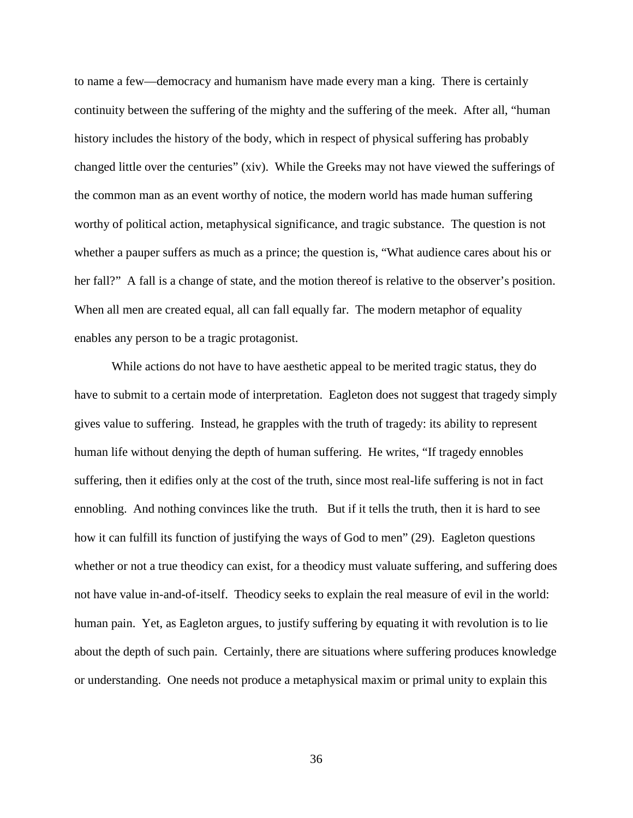to name a few—democracy and humanism have made every man a king. There is certainly continuity between the suffering of the mighty and the suffering of the meek. After all, "human history includes the history of the body, which in respect of physical suffering has probably changed little over the centuries" (xiv). While the Greeks may not have viewed the sufferings of the common man as an event worthy of notice, the modern world has made human suffering worthy of political action, metaphysical significance, and tragic substance. The question is not whether a pauper suffers as much as a prince; the question is, "What audience cares about his or her fall?" A fall is a change of state, and the motion thereof is relative to the observer's position. When all men are created equal, all can fall equally far. The modern metaphor of equality enables any person to be a tragic protagonist.

While actions do not have to have aesthetic appeal to be merited tragic status, they do have to submit to a certain mode of interpretation. Eagleton does not suggest that tragedy simply gives value to suffering. Instead, he grapples with the truth of tragedy: its ability to represent human life without denying the depth of human suffering. He writes, "If tragedy ennobles suffering, then it edifies only at the cost of the truth, since most real-life suffering is not in fact ennobling. And nothing convinces like the truth. But if it tells the truth, then it is hard to see how it can fulfill its function of justifying the ways of God to men" (29). Eagleton questions whether or not a true theodicy can exist, for a theodicy must valuate suffering, and suffering does not have value in-and-of-itself. Theodicy seeks to explain the real measure of evil in the world: human pain. Yet, as Eagleton argues, to justify suffering by equating it with revolution is to lie about the depth of such pain. Certainly, there are situations where suffering produces knowledge or understanding. One needs not produce a metaphysical maxim or primal unity to explain this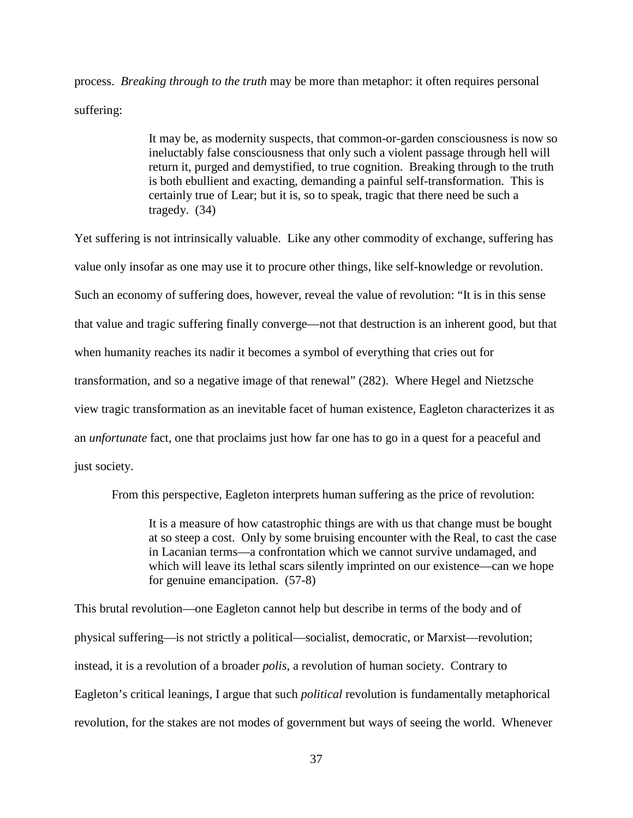process. *Breaking through to the truth* may be more than metaphor: it often requires personal suffering:

> It may be, as modernity suspects, that common-or-garden consciousness is now so ineluctably false consciousness that only such a violent passage through hell will return it, purged and demystified, to true cognition. Breaking through to the truth is both ebullient and exacting, demanding a painful self-transformation. This is certainly true of Lear; but it is, so to speak, tragic that there need be such a tragedy. (34)

Yet suffering is not intrinsically valuable. Like any other commodity of exchange, suffering has value only insofar as one may use it to procure other things, like self-knowledge or revolution. Such an economy of suffering does, however, reveal the value of revolution: "It is in this sense that value and tragic suffering finally converge—not that destruction is an inherent good, but that when humanity reaches its nadir it becomes a symbol of everything that cries out for transformation, and so a negative image of that renewal" (282). Where Hegel and Nietzsche view tragic transformation as an inevitable facet of human existence, Eagleton characterizes it as an *unfortunate* fact, one that proclaims just how far one has to go in a quest for a peaceful and just society.

From this perspective, Eagleton interprets human suffering as the price of revolution:

It is a measure of how catastrophic things are with us that change must be bought at so steep a cost. Only by some bruising encounter with the Real, to cast the case in Lacanian terms—a confrontation which we cannot survive undamaged, and which will leave its lethal scars silently imprinted on our existence—can we hope for genuine emancipation. (57-8)

This brutal revolution—one Eagleton cannot help but describe in terms of the body and of physical suffering—is not strictly a political—socialist, democratic, or Marxist—revolution; instead, it is a revolution of a broader *polis*, a revolution of human society. Contrary to Eagleton's critical leanings, I argue that such *political* revolution is fundamentally metaphorical revolution, for the stakes are not modes of government but ways of seeing the world. Whenever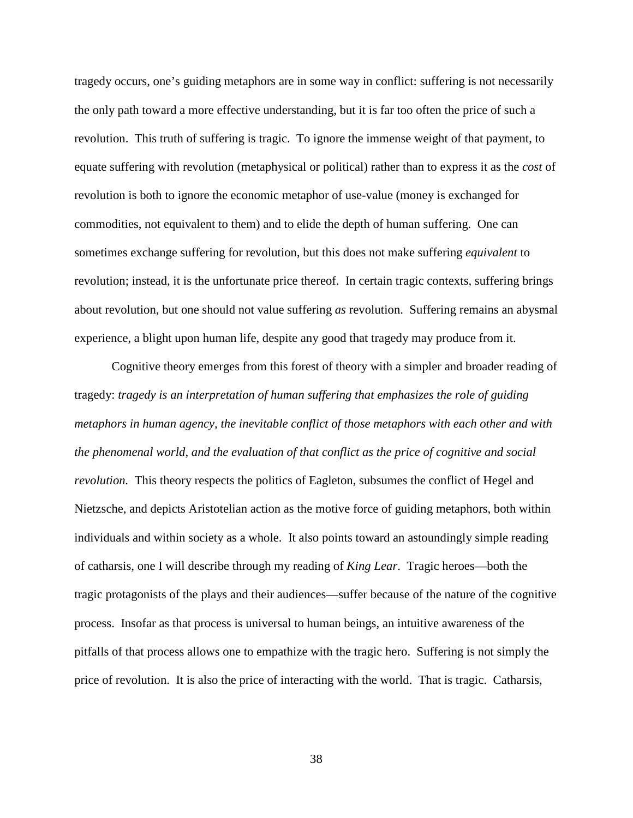tragedy occurs, one's guiding metaphors are in some way in conflict: suffering is not necessarily the only path toward a more effective understanding, but it is far too often the price of such a revolution. This truth of suffering is tragic. To ignore the immense weight of that payment, to equate suffering with revolution (metaphysical or political) rather than to express it as the *cost* of revolution is both to ignore the economic metaphor of use-value (money is exchanged for commodities, not equivalent to them) and to elide the depth of human suffering. One can sometimes exchange suffering for revolution, but this does not make suffering *equivalent* to revolution; instead, it is the unfortunate price thereof. In certain tragic contexts, suffering brings about revolution, but one should not value suffering *as* revolution. Suffering remains an abysmal experience, a blight upon human life, despite any good that tragedy may produce from it.

Cognitive theory emerges from this forest of theory with a simpler and broader reading of tragedy: *tragedy is an interpretation of human suffering that emphasizes the role of guiding metaphors in human agency, the inevitable conflict of those metaphors with each other and with the phenomenal world, and the evaluation of that conflict as the price of cognitive and social revolution.* This theory respects the politics of Eagleton, subsumes the conflict of Hegel and Nietzsche, and depicts Aristotelian action as the motive force of guiding metaphors, both within individuals and within society as a whole. It also points toward an astoundingly simple reading of catharsis, one I will describe through my reading of *King Lear*. Tragic heroes—both the tragic protagonists of the plays and their audiences—suffer because of the nature of the cognitive process. Insofar as that process is universal to human beings, an intuitive awareness of the pitfalls of that process allows one to empathize with the tragic hero. Suffering is not simply the price of revolution. It is also the price of interacting with the world. That is tragic. Catharsis,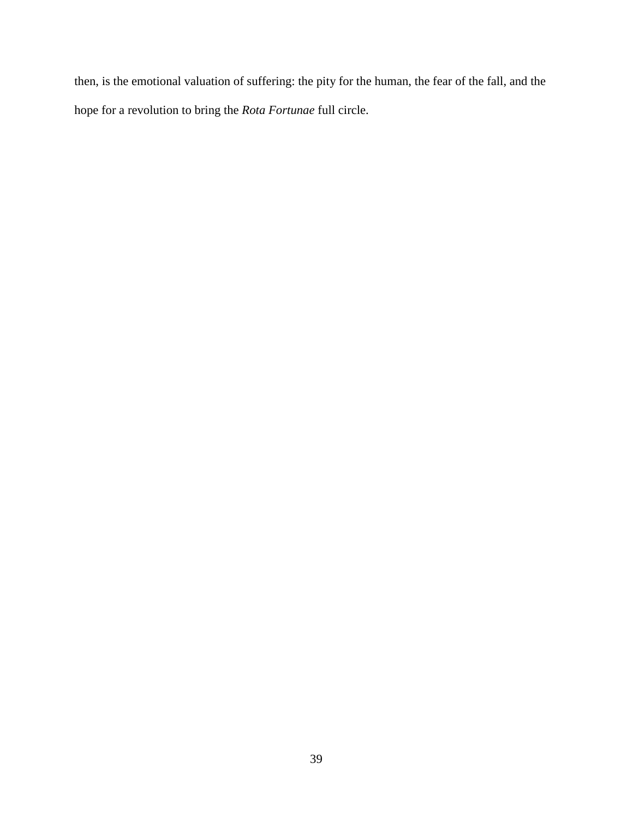then, is the emotional valuation of suffering: the pity for the human, the fear of the fall, and the hope for a revolution to bring the *Rota Fortunae* full circle.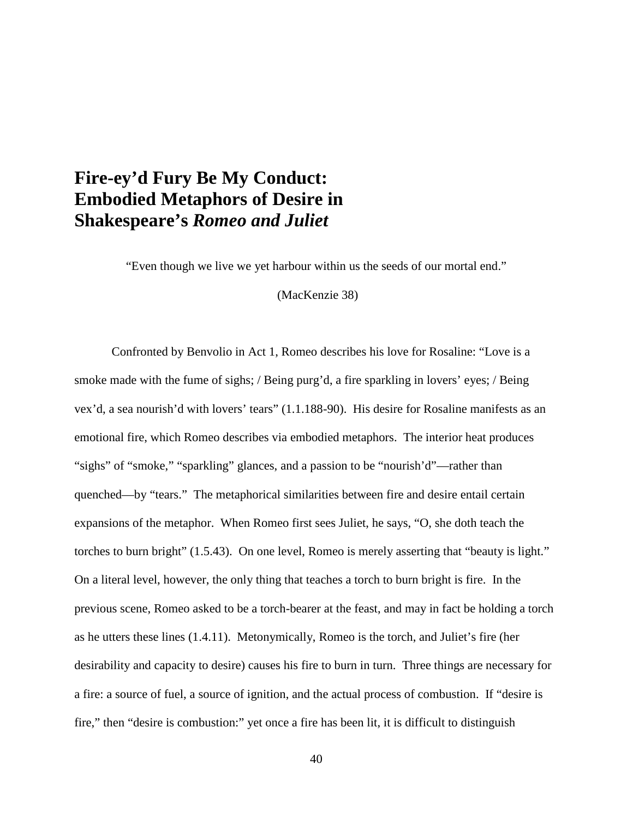### **Fire-ey'd Fury Be My Conduct: Embodied Metaphors of Desire in Shakespeare's** *Romeo and Juliet*

"Even though we live we yet harbour within us the seeds of our mortal end."

(MacKenzie 38)

Confronted by Benvolio in Act 1, Romeo describes his love for Rosaline: "Love is a smoke made with the fume of sighs; / Being purg'd, a fire sparkling in lovers' eyes; / Being vex'd, a sea nourish'd with lovers' tears" (1.1.188-90). His desire for Rosaline manifests as an emotional fire, which Romeo describes via embodied metaphors. The interior heat produces "sighs" of "smoke," "sparkling" glances, and a passion to be "nourish'd"—rather than quenched—by "tears." The metaphorical similarities between fire and desire entail certain expansions of the metaphor. When Romeo first sees Juliet, he says, "O, she doth teach the torches to burn bright" (1.5.43). On one level, Romeo is merely asserting that "beauty is light." On a literal level, however, the only thing that teaches a torch to burn bright is fire. In the previous scene, Romeo asked to be a torch-bearer at the feast, and may in fact be holding a torch as he utters these lines (1.4.11). Metonymically, Romeo is the torch, and Juliet's fire (her desirability and capacity to desire) causes his fire to burn in turn. Three things are necessary for a fire: a source of fuel, a source of ignition, and the actual process of combustion. If "desire is fire," then "desire is combustion:" yet once a fire has been lit, it is difficult to distinguish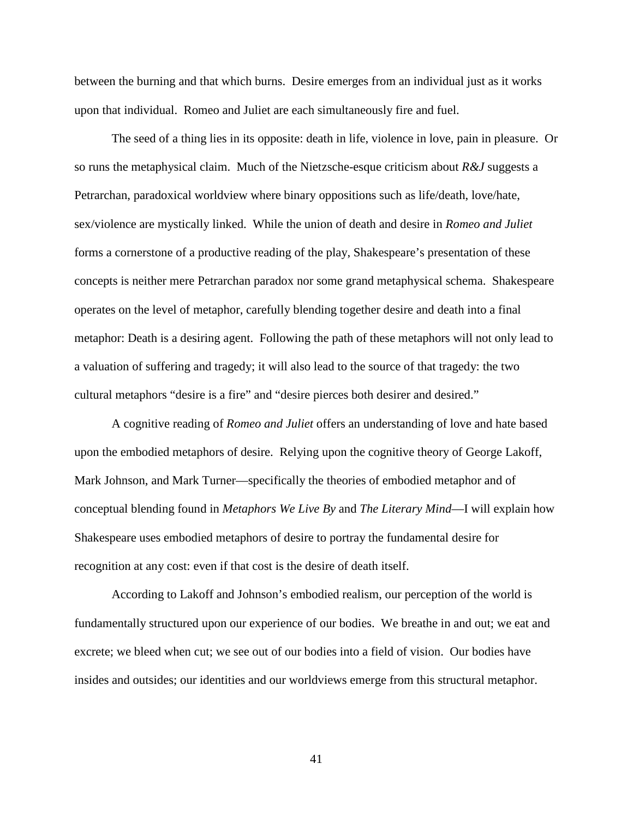between the burning and that which burns. Desire emerges from an individual just as it works upon that individual. Romeo and Juliet are each simultaneously fire and fuel.

The seed of a thing lies in its opposite: death in life, violence in love, pain in pleasure. Or so runs the metaphysical claim. Much of the Nietzsche-esque criticism about *R&J* suggests a Petrarchan, paradoxical worldview where binary oppositions such as life/death, love/hate, sex/violence are mystically linked. While the union of death and desire in *Romeo and Juliet*  forms a cornerstone of a productive reading of the play, Shakespeare's presentation of these concepts is neither mere Petrarchan paradox nor some grand metaphysical schema. Shakespeare operates on the level of metaphor, carefully blending together desire and death into a final metaphor: Death is a desiring agent. Following the path of these metaphors will not only lead to a valuation of suffering and tragedy; it will also lead to the source of that tragedy: the two cultural metaphors "desire is a fire" and "desire pierces both desirer and desired."

A cognitive reading of *Romeo and Juliet* offers an understanding of love and hate based upon the embodied metaphors of desire. Relying upon the cognitive theory of George Lakoff, Mark Johnson, and Mark Turner—specifically the theories of embodied metaphor and of conceptual blending found in *Metaphors We Live By* and *The Literary Mind*—I will explain how Shakespeare uses embodied metaphors of desire to portray the fundamental desire for recognition at any cost: even if that cost is the desire of death itself.

According to Lakoff and Johnson's embodied realism, our perception of the world is fundamentally structured upon our experience of our bodies. We breathe in and out; we eat and excrete; we bleed when cut; we see out of our bodies into a field of vision. Our bodies have insides and outsides; our identities and our worldviews emerge from this structural metaphor.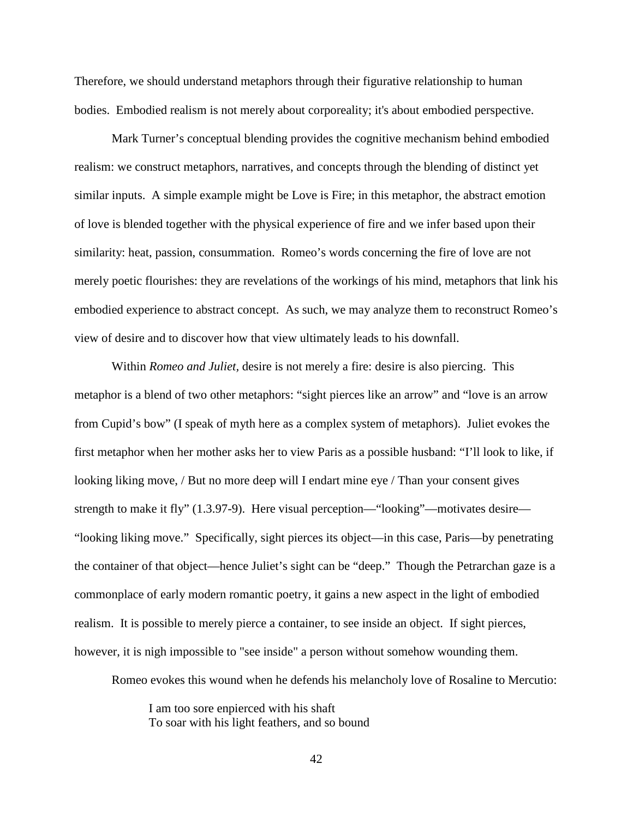Therefore, we should understand metaphors through their figurative relationship to human bodies. Embodied realism is not merely about corporeality; it's about embodied perspective.

Mark Turner's conceptual blending provides the cognitive mechanism behind embodied realism: we construct metaphors, narratives, and concepts through the blending of distinct yet similar inputs. A simple example might be Love is Fire; in this metaphor, the abstract emotion of love is blended together with the physical experience of fire and we infer based upon their similarity: heat, passion, consummation. Romeo's words concerning the fire of love are not merely poetic flourishes: they are revelations of the workings of his mind, metaphors that link his embodied experience to abstract concept. As such, we may analyze them to reconstruct Romeo's view of desire and to discover how that view ultimately leads to his downfall.

Within *Romeo and Juliet,* desire is not merely a fire: desire is also piercing. This metaphor is a blend of two other metaphors: "sight pierces like an arrow" and "love is an arrow from Cupid's bow" (I speak of myth here as a complex system of metaphors). Juliet evokes the first metaphor when her mother asks her to view Paris as a possible husband: "I'll look to like, if looking liking move, / But no more deep will I endart mine eye / Than your consent gives strength to make it fly" (1.3.97-9). Here visual perception—"looking"—motivates desire— "looking liking move." Specifically, sight pierces its object—in this case, Paris—by penetrating the container of that object—hence Juliet's sight can be "deep." Though the Petrarchan gaze is a commonplace of early modern romantic poetry, it gains a new aspect in the light of embodied realism. It is possible to merely pierce a container, to see inside an object. If sight pierces, however, it is nigh impossible to "see inside" a person without somehow wounding them.

Romeo evokes this wound when he defends his melancholy love of Rosaline to Mercutio:

I am too sore enpierced with his shaft To soar with his light feathers, and so bound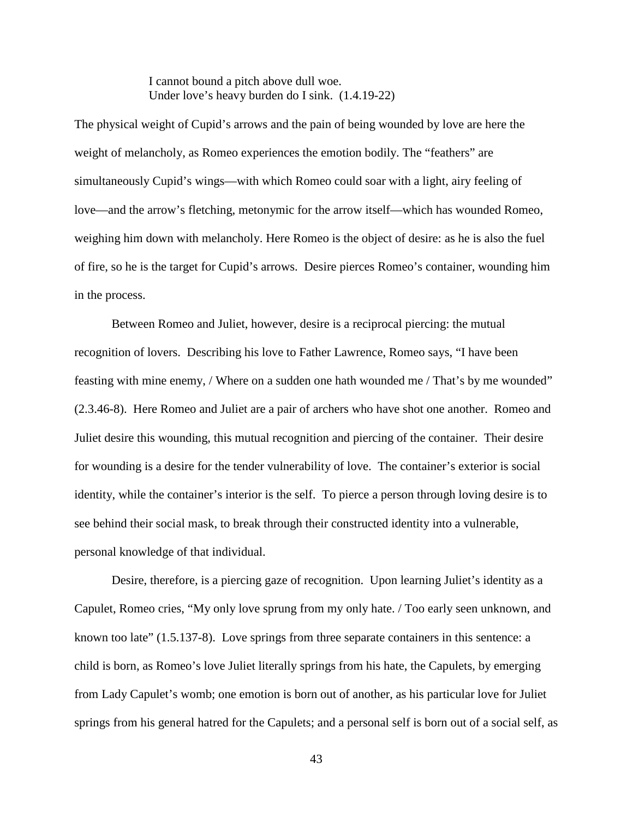I cannot bound a pitch above dull woe. Under love's heavy burden do I sink. (1.4.19-22)

The physical weight of Cupid's arrows and the pain of being wounded by love are here the weight of melancholy, as Romeo experiences the emotion bodily. The "feathers" are simultaneously Cupid's wings—with which Romeo could soar with a light, airy feeling of love—and the arrow's fletching, metonymic for the arrow itself—which has wounded Romeo, weighing him down with melancholy. Here Romeo is the object of desire: as he is also the fuel of fire, so he is the target for Cupid's arrows. Desire pierces Romeo's container, wounding him in the process.

Between Romeo and Juliet, however, desire is a reciprocal piercing: the mutual recognition of lovers. Describing his love to Father Lawrence, Romeo says, "I have been feasting with mine enemy, / Where on a sudden one hath wounded me / That's by me wounded" (2.3.46-8). Here Romeo and Juliet are a pair of archers who have shot one another. Romeo and Juliet desire this wounding, this mutual recognition and piercing of the container. Their desire for wounding is a desire for the tender vulnerability of love. The container's exterior is social identity, while the container's interior is the self. To pierce a person through loving desire is to see behind their social mask, to break through their constructed identity into a vulnerable, personal knowledge of that individual.

Desire, therefore, is a piercing gaze of recognition. Upon learning Juliet's identity as a Capulet, Romeo cries, "My only love sprung from my only hate. / Too early seen unknown, and known too late" (1.5.137-8). Love springs from three separate containers in this sentence: a child is born, as Romeo's love Juliet literally springs from his hate, the Capulets, by emerging from Lady Capulet's womb; one emotion is born out of another, as his particular love for Juliet springs from his general hatred for the Capulets; and a personal self is born out of a social self, as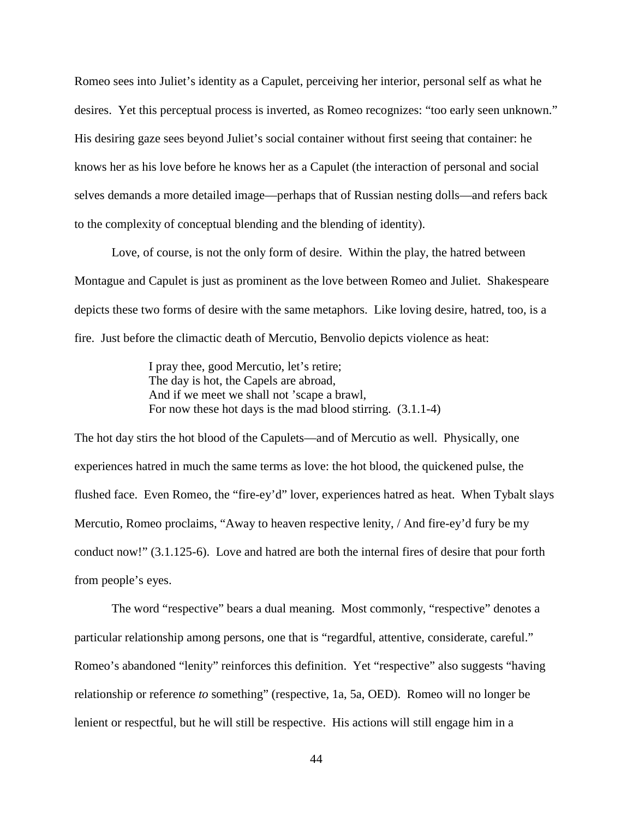Romeo sees into Juliet's identity as a Capulet, perceiving her interior, personal self as what he desires. Yet this perceptual process is inverted, as Romeo recognizes: "too early seen unknown." His desiring gaze sees beyond Juliet's social container without first seeing that container: he knows her as his love before he knows her as a Capulet (the interaction of personal and social selves demands a more detailed image—perhaps that of Russian nesting dolls—and refers back to the complexity of conceptual blending and the blending of identity).

Love, of course, is not the only form of desire. Within the play, the hatred between Montague and Capulet is just as prominent as the love between Romeo and Juliet. Shakespeare depicts these two forms of desire with the same metaphors. Like loving desire, hatred, too, is a fire. Just before the climactic death of Mercutio, Benvolio depicts violence as heat:

> I pray thee, good Mercutio, let's retire; The day is hot, the Capels are abroad, And if we meet we shall not 'scape a brawl, For now these hot days is the mad blood stirring. (3.1.1-4)

The hot day stirs the hot blood of the Capulets—and of Mercutio as well. Physically, one experiences hatred in much the same terms as love: the hot blood, the quickened pulse, the flushed face. Even Romeo, the "fire-ey'd" lover, experiences hatred as heat. When Tybalt slays Mercutio, Romeo proclaims, "Away to heaven respective lenity, / And fire-ey'd fury be my conduct now!" (3.1.125-6). Love and hatred are both the internal fires of desire that pour forth from people's eyes.

 The word "respective" bears a dual meaning. Most commonly, "respective" denotes a particular relationship among persons, one that is "regardful, attentive, considerate, careful." Romeo's abandoned "lenity" reinforces this definition. Yet "respective" also suggests "having relationship or reference *to* something" (respective, 1a, 5a, OED). Romeo will no longer be lenient or respectful, but he will still be respective. His actions will still engage him in a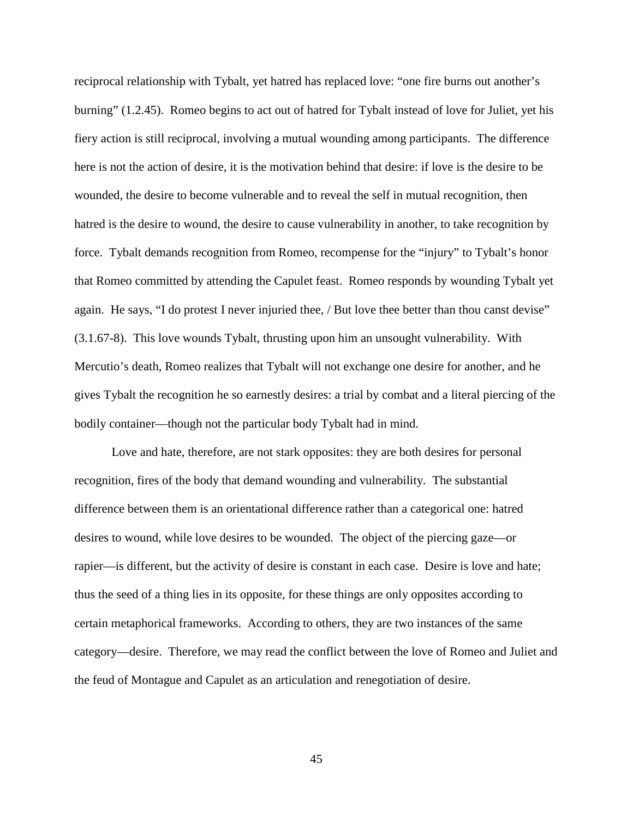reciprocal relationship with Tybalt, yet hatred has replaced love: "one fire burns out another's burning" (1.2.45). Romeo begins to act out of hatred for Tybalt instead of love for Juliet, yet his fiery action is still reciprocal, involving a mutual wounding among participants. The difference here is not the action of desire, it is the motivation behind that desire: if love is the desire to be wounded, the desire to become vulnerable and to reveal the self in mutual recognition, then hatred is the desire to wound, the desire to cause vulnerability in another, to take recognition by force. Tybalt demands recognition from Romeo, recompense for the "injury" to Tybalt's honor that Romeo committed by attending the Capulet feast. Romeo responds by wounding Tybalt yet again. He says, "I do protest I never injuried thee, / But love thee better than thou canst devise" (3.1.67-8). This love wounds Tybalt, thrusting upon him an unsought vulnerability. With Mercutio's death, Romeo realizes that Tybalt will not exchange one desire for another, and he gives Tybalt the recognition he so earnestly desires: a trial by combat and a literal piercing of the bodily container—though not the particular body Tybalt had in mind.

Love and hate, therefore, are not stark opposites: they are both desires for personal recognition, fires of the body that demand wounding and vulnerability. The substantial difference between them is an orientational difference rather than a categorical one: hatred desires to wound, while love desires to be wounded. The object of the piercing gaze—or rapier—is different, but the activity of desire is constant in each case. Desire is love and hate; thus the seed of a thing lies in its opposite, for these things are only opposites according to certain metaphorical frameworks. According to others, they are two instances of the same category—desire. Therefore, we may read the conflict between the love of Romeo and Juliet and the feud of Montague and Capulet as an articulation and renegotiation of desire.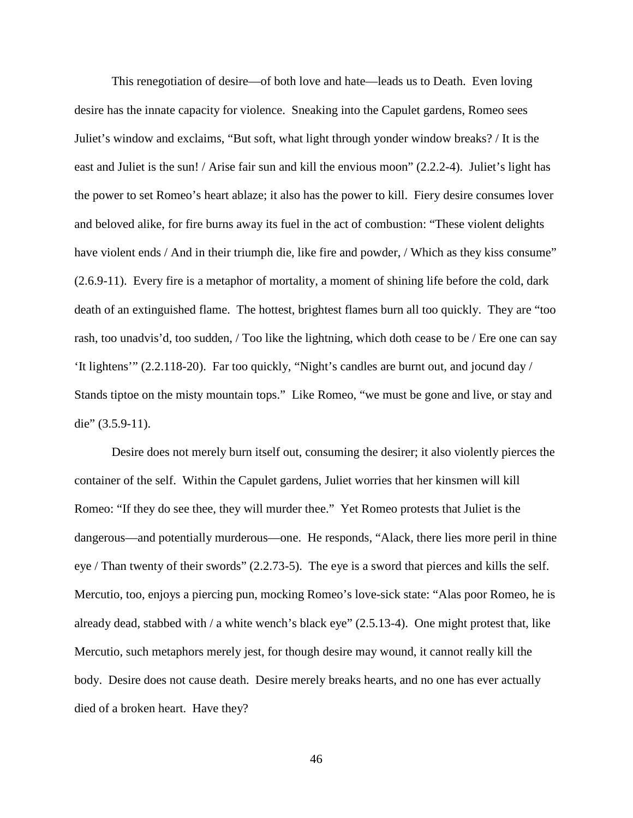This renegotiation of desire—of both love and hate—leads us to Death. Even loving desire has the innate capacity for violence. Sneaking into the Capulet gardens, Romeo sees Juliet's window and exclaims, "But soft, what light through yonder window breaks? / It is the east and Juliet is the sun! / Arise fair sun and kill the envious moon" (2.2.2-4). Juliet's light has the power to set Romeo's heart ablaze; it also has the power to kill. Fiery desire consumes lover and beloved alike, for fire burns away its fuel in the act of combustion: "These violent delights have violent ends / And in their triumph die, like fire and powder, / Which as they kiss consume" (2.6.9-11). Every fire is a metaphor of mortality, a moment of shining life before the cold, dark death of an extinguished flame. The hottest, brightest flames burn all too quickly. They are "too rash, too unadvis'd, too sudden, / Too like the lightning, which doth cease to be / Ere one can say 'It lightens'" (2.2.118-20). Far too quickly, "Night's candles are burnt out, and jocund day / Stands tiptoe on the misty mountain tops." Like Romeo, "we must be gone and live, or stay and die" (3.5.9-11).

Desire does not merely burn itself out, consuming the desirer; it also violently pierces the container of the self. Within the Capulet gardens, Juliet worries that her kinsmen will kill Romeo: "If they do see thee, they will murder thee." Yet Romeo protests that Juliet is the dangerous—and potentially murderous—one. He responds, "Alack, there lies more peril in thine eye / Than twenty of their swords" (2.2.73-5). The eye is a sword that pierces and kills the self. Mercutio, too, enjoys a piercing pun, mocking Romeo's love-sick state: "Alas poor Romeo, he is already dead, stabbed with / a white wench's black eye" (2.5.13-4). One might protest that, like Mercutio, such metaphors merely jest, for though desire may wound, it cannot really kill the body. Desire does not cause death. Desire merely breaks hearts, and no one has ever actually died of a broken heart. Have they?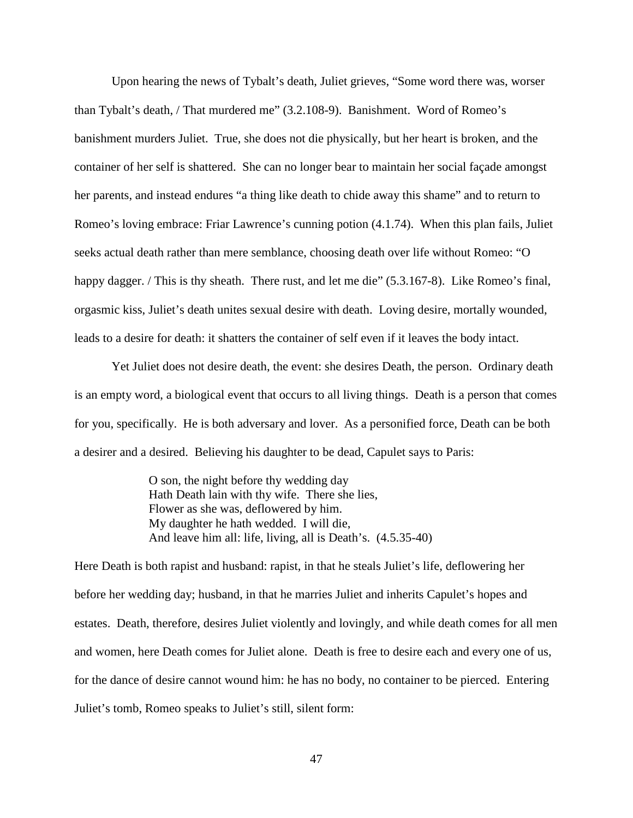Upon hearing the news of Tybalt's death, Juliet grieves, "Some word there was, worser than Tybalt's death, / That murdered me" (3.2.108-9). Banishment. Word of Romeo's banishment murders Juliet. True, she does not die physically, but her heart is broken, and the container of her self is shattered. She can no longer bear to maintain her social façade amongst her parents, and instead endures "a thing like death to chide away this shame" and to return to Romeo's loving embrace: Friar Lawrence's cunning potion (4.1.74). When this plan fails, Juliet seeks actual death rather than mere semblance, choosing death over life without Romeo: "O happy dagger. / This is thy sheath. There rust, and let me die" (5.3.167-8). Like Romeo's final, orgasmic kiss, Juliet's death unites sexual desire with death. Loving desire, mortally wounded, leads to a desire for death: it shatters the container of self even if it leaves the body intact.

Yet Juliet does not desire death, the event: she desires Death, the person. Ordinary death is an empty word, a biological event that occurs to all living things. Death is a person that comes for you, specifically. He is both adversary and lover. As a personified force, Death can be both a desirer and a desired. Believing his daughter to be dead, Capulet says to Paris:

> O son, the night before thy wedding day Hath Death lain with thy wife. There she lies, Flower as she was, deflowered by him. My daughter he hath wedded. I will die, And leave him all: life, living, all is Death's. (4.5.35-40)

Here Death is both rapist and husband: rapist, in that he steals Juliet's life, deflowering her before her wedding day; husband, in that he marries Juliet and inherits Capulet's hopes and estates. Death, therefore, desires Juliet violently and lovingly, and while death comes for all men and women, here Death comes for Juliet alone. Death is free to desire each and every one of us, for the dance of desire cannot wound him: he has no body, no container to be pierced. Entering Juliet's tomb, Romeo speaks to Juliet's still, silent form: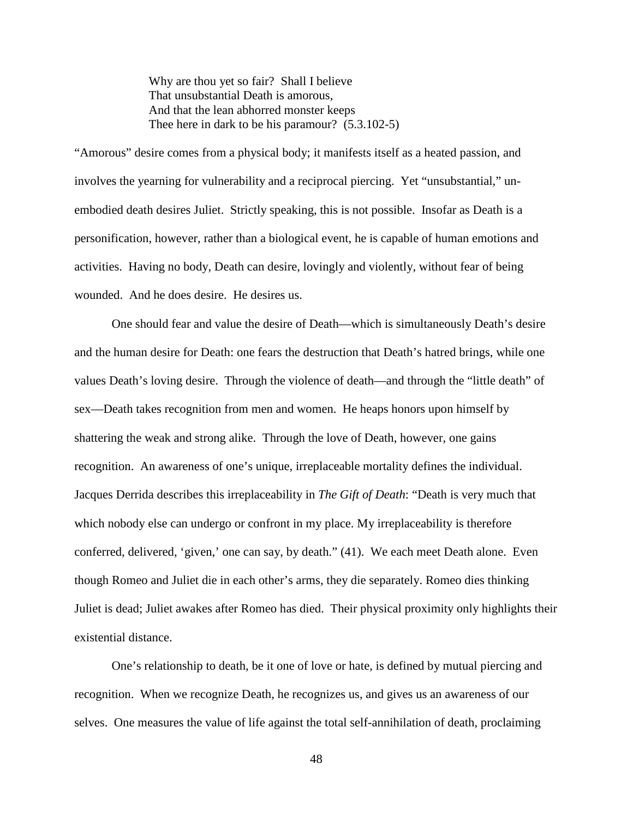Why are thou yet so fair? Shall I believe That unsubstantial Death is amorous, And that the lean abhorred monster keeps Thee here in dark to be his paramour? (5.3.102-5)

"Amorous" desire comes from a physical body; it manifests itself as a heated passion, and involves the yearning for vulnerability and a reciprocal piercing. Yet "unsubstantial," unembodied death desires Juliet. Strictly speaking, this is not possible. Insofar as Death is a personification, however, rather than a biological event, he is capable of human emotions and activities. Having no body, Death can desire, lovingly and violently, without fear of being wounded. And he does desire. He desires us.

One should fear and value the desire of Death—which is simultaneously Death's desire and the human desire for Death: one fears the destruction that Death's hatred brings, while one values Death's loving desire. Through the violence of death—and through the "little death" of sex—Death takes recognition from men and women. He heaps honors upon himself by shattering the weak and strong alike. Through the love of Death, however, one gains recognition. An awareness of one's unique, irreplaceable mortality defines the individual. Jacques Derrida describes this irreplaceability in *The Gift of Death*: "Death is very much that which nobody else can undergo or confront in my place. My irreplaceability is therefore conferred, delivered, 'given,' one can say, by death." (41). We each meet Death alone. Even though Romeo and Juliet die in each other's arms, they die separately. Romeo dies thinking Juliet is dead; Juliet awakes after Romeo has died. Their physical proximity only highlights their existential distance.

One's relationship to death, be it one of love or hate, is defined by mutual piercing and recognition. When we recognize Death, he recognizes us, and gives us an awareness of our selves. One measures the value of life against the total self-annihilation of death, proclaiming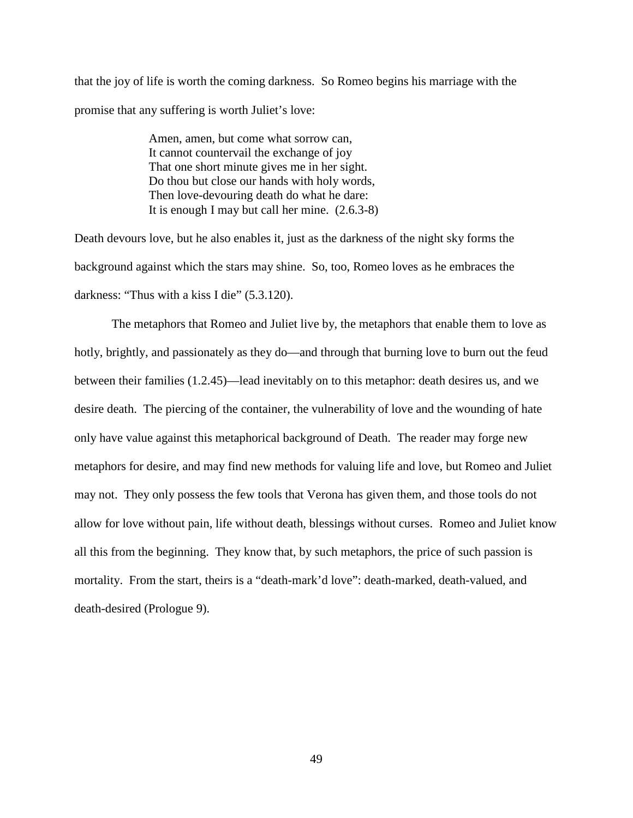that the joy of life is worth the coming darkness. So Romeo begins his marriage with the promise that any suffering is worth Juliet's love:

> Amen, amen, but come what sorrow can, It cannot countervail the exchange of joy That one short minute gives me in her sight. Do thou but close our hands with holy words, Then love-devouring death do what he dare: It is enough I may but call her mine. (2.6.3-8)

Death devours love, but he also enables it, just as the darkness of the night sky forms the background against which the stars may shine. So, too, Romeo loves as he embraces the darkness: "Thus with a kiss I die" (5.3.120).

The metaphors that Romeo and Juliet live by, the metaphors that enable them to love as hotly, brightly, and passionately as they do—and through that burning love to burn out the feud between their families (1.2.45)—lead inevitably on to this metaphor: death desires us, and we desire death. The piercing of the container, the vulnerability of love and the wounding of hate only have value against this metaphorical background of Death. The reader may forge new metaphors for desire, and may find new methods for valuing life and love, but Romeo and Juliet may not. They only possess the few tools that Verona has given them, and those tools do not allow for love without pain, life without death, blessings without curses. Romeo and Juliet know all this from the beginning. They know that, by such metaphors, the price of such passion is mortality. From the start, theirs is a "death-mark'd love": death-marked, death-valued, and death-desired (Prologue 9).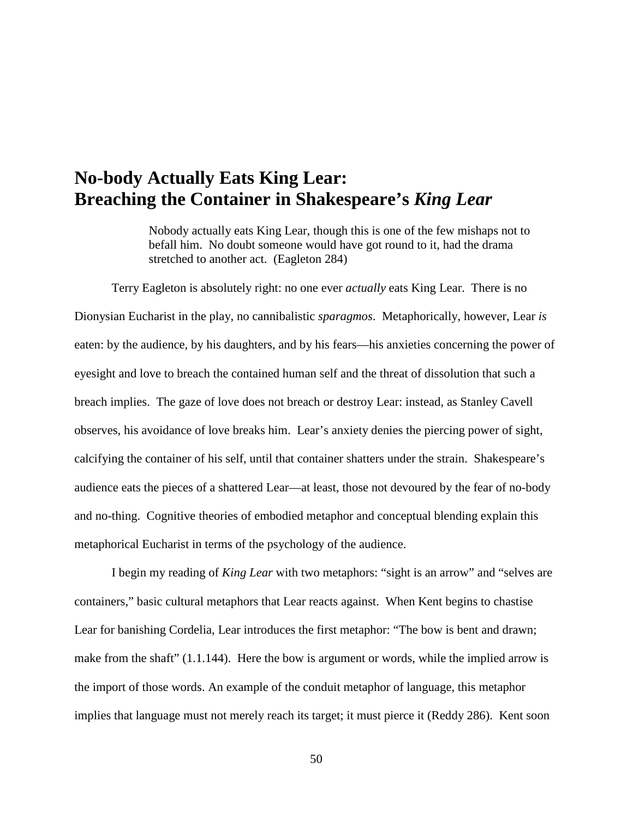### **No-body Actually Eats King Lear: Breaching the Container in Shakespeare's** *King Lear*

Nobody actually eats King Lear, though this is one of the few mishaps not to befall him. No doubt someone would have got round to it, had the drama stretched to another act. (Eagleton 284)

Terry Eagleton is absolutely right: no one ever *actually* eats King Lear. There is no Dionysian Eucharist in the play, no cannibalistic *sparagmos*. Metaphorically, however, Lear *is* eaten: by the audience, by his daughters, and by his fears—his anxieties concerning the power of eyesight and love to breach the contained human self and the threat of dissolution that such a breach implies. The gaze of love does not breach or destroy Lear: instead, as Stanley Cavell observes, his avoidance of love breaks him. Lear's anxiety denies the piercing power of sight, calcifying the container of his self, until that container shatters under the strain. Shakespeare's audience eats the pieces of a shattered Lear—at least, those not devoured by the fear of no-body and no-thing. Cognitive theories of embodied metaphor and conceptual blending explain this metaphorical Eucharist in terms of the psychology of the audience.

I begin my reading of *King Lear* with two metaphors: "sight is an arrow" and "selves are containers," basic cultural metaphors that Lear reacts against. When Kent begins to chastise Lear for banishing Cordelia, Lear introduces the first metaphor: "The bow is bent and drawn; make from the shaft" (1.1.144). Here the bow is argument or words, while the implied arrow is the import of those words. An example of the conduit metaphor of language, this metaphor implies that language must not merely reach its target; it must pierce it (Reddy 286). Kent soon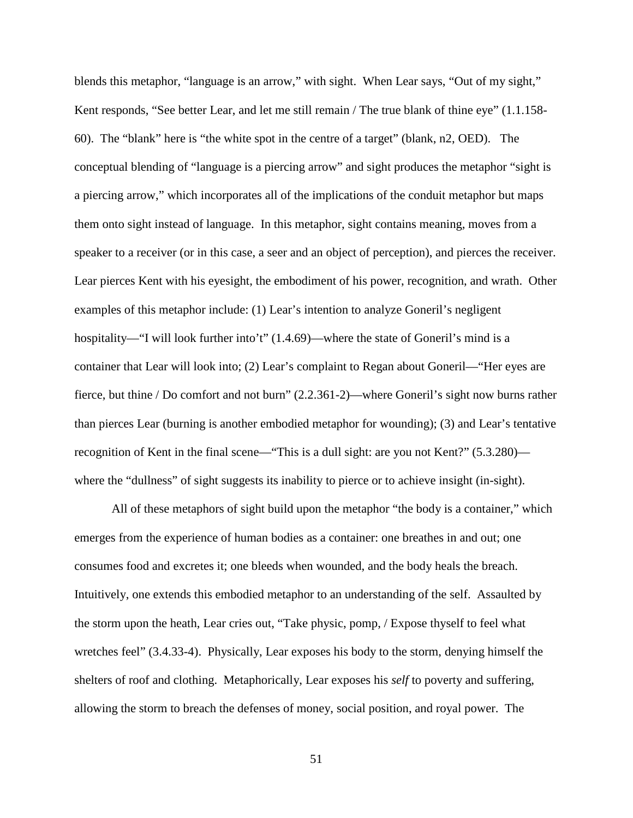blends this metaphor, "language is an arrow," with sight. When Lear says, "Out of my sight," Kent responds, "See better Lear, and let me still remain / The true blank of thine eye" (1.1.158- 60). The "blank" here is "the white spot in the centre of a target" (blank, n2, OED). The conceptual blending of "language is a piercing arrow" and sight produces the metaphor "sight is a piercing arrow," which incorporates all of the implications of the conduit metaphor but maps them onto sight instead of language. In this metaphor, sight contains meaning, moves from a speaker to a receiver (or in this case, a seer and an object of perception), and pierces the receiver. Lear pierces Kent with his eyesight, the embodiment of his power, recognition, and wrath. Other examples of this metaphor include: (1) Lear's intention to analyze Goneril's negligent hospitality—"I will look further into't" (1.4.69)—where the state of Goneril's mind is a container that Lear will look into; (2) Lear's complaint to Regan about Goneril—"Her eyes are fierce, but thine / Do comfort and not burn" (2.2.361-2)—where Goneril's sight now burns rather than pierces Lear (burning is another embodied metaphor for wounding); (3) and Lear's tentative recognition of Kent in the final scene—"This is a dull sight: are you not Kent?" (5.3.280) where the "dullness" of sight suggests its inability to pierce or to achieve insight (in-sight).

All of these metaphors of sight build upon the metaphor "the body is a container," which emerges from the experience of human bodies as a container: one breathes in and out; one consumes food and excretes it; one bleeds when wounded, and the body heals the breach. Intuitively, one extends this embodied metaphor to an understanding of the self. Assaulted by the storm upon the heath, Lear cries out, "Take physic, pomp, / Expose thyself to feel what wretches feel" (3.4.33-4). Physically, Lear exposes his body to the storm, denying himself the shelters of roof and clothing. Metaphorically, Lear exposes his *self* to poverty and suffering, allowing the storm to breach the defenses of money, social position, and royal power. The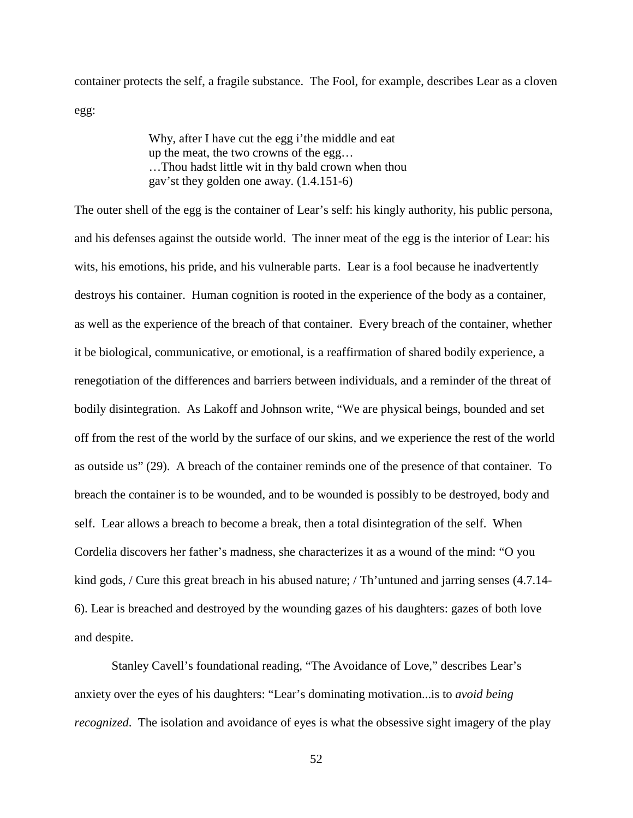container protects the self, a fragile substance. The Fool, for example, describes Lear as a cloven egg:

> Why, after I have cut the egg i'the middle and eat up the meat, the two crowns of the egg… …Thou hadst little wit in thy bald crown when thou gav'st they golden one away. (1.4.151-6)

The outer shell of the egg is the container of Lear's self: his kingly authority, his public persona, and his defenses against the outside world. The inner meat of the egg is the interior of Lear: his wits, his emotions, his pride, and his vulnerable parts. Lear is a fool because he inadvertently destroys his container. Human cognition is rooted in the experience of the body as a container, as well as the experience of the breach of that container. Every breach of the container, whether it be biological, communicative, or emotional, is a reaffirmation of shared bodily experience, a renegotiation of the differences and barriers between individuals, and a reminder of the threat of bodily disintegration. As Lakoff and Johnson write, "We are physical beings, bounded and set off from the rest of the world by the surface of our skins, and we experience the rest of the world as outside us" (29). A breach of the container reminds one of the presence of that container. To breach the container is to be wounded, and to be wounded is possibly to be destroyed, body and self. Lear allows a breach to become a break, then a total disintegration of the self. When Cordelia discovers her father's madness, she characterizes it as a wound of the mind: "O you kind gods, / Cure this great breach in his abused nature; / Th'untuned and jarring senses (4.7.14- 6). Lear is breached and destroyed by the wounding gazes of his daughters: gazes of both love and despite.

Stanley Cavell's foundational reading, "The Avoidance of Love," describes Lear's anxiety over the eyes of his daughters: "Lear's dominating motivation...is to *avoid being recognized*. The isolation and avoidance of eyes is what the obsessive sight imagery of the play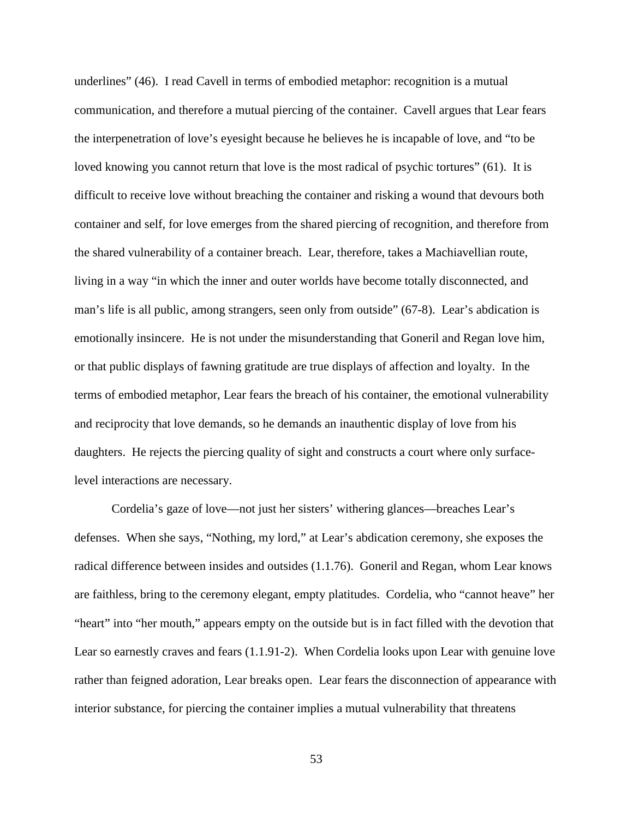underlines" (46). I read Cavell in terms of embodied metaphor: recognition is a mutual communication, and therefore a mutual piercing of the container. Cavell argues that Lear fears the interpenetration of love's eyesight because he believes he is incapable of love, and "to be loved knowing you cannot return that love is the most radical of psychic tortures" (61). It is difficult to receive love without breaching the container and risking a wound that devours both container and self, for love emerges from the shared piercing of recognition, and therefore from the shared vulnerability of a container breach. Lear, therefore, takes a Machiavellian route, living in a way "in which the inner and outer worlds have become totally disconnected, and man's life is all public, among strangers, seen only from outside" (67-8). Lear's abdication is emotionally insincere. He is not under the misunderstanding that Goneril and Regan love him, or that public displays of fawning gratitude are true displays of affection and loyalty. In the terms of embodied metaphor, Lear fears the breach of his container, the emotional vulnerability and reciprocity that love demands, so he demands an inauthentic display of love from his daughters. He rejects the piercing quality of sight and constructs a court where only surfacelevel interactions are necessary.

Cordelia's gaze of love—not just her sisters' withering glances—breaches Lear's defenses. When she says, "Nothing, my lord," at Lear's abdication ceremony, she exposes the radical difference between insides and outsides (1.1.76). Goneril and Regan, whom Lear knows are faithless, bring to the ceremony elegant, empty platitudes. Cordelia, who "cannot heave" her "heart" into "her mouth," appears empty on the outside but is in fact filled with the devotion that Lear so earnestly craves and fears (1.1.91-2). When Cordelia looks upon Lear with genuine love rather than feigned adoration, Lear breaks open. Lear fears the disconnection of appearance with interior substance, for piercing the container implies a mutual vulnerability that threatens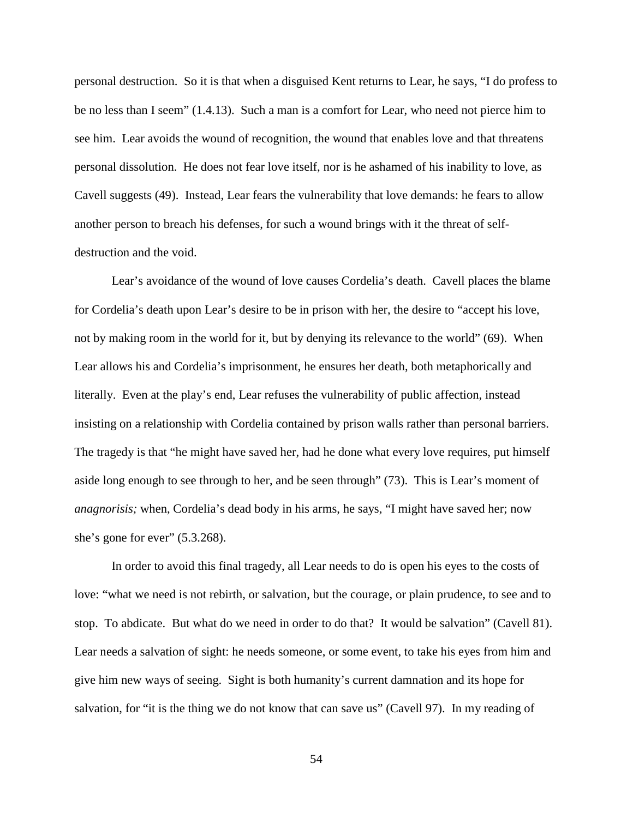personal destruction. So it is that when a disguised Kent returns to Lear, he says, "I do profess to be no less than I seem" (1.4.13). Such a man is a comfort for Lear, who need not pierce him to see him. Lear avoids the wound of recognition, the wound that enables love and that threatens personal dissolution. He does not fear love itself, nor is he ashamed of his inability to love, as Cavell suggests (49). Instead, Lear fears the vulnerability that love demands: he fears to allow another person to breach his defenses, for such a wound brings with it the threat of selfdestruction and the void.

Lear's avoidance of the wound of love causes Cordelia's death. Cavell places the blame for Cordelia's death upon Lear's desire to be in prison with her, the desire to "accept his love, not by making room in the world for it, but by denying its relevance to the world" (69). When Lear allows his and Cordelia's imprisonment, he ensures her death, both metaphorically and literally. Even at the play's end, Lear refuses the vulnerability of public affection, instead insisting on a relationship with Cordelia contained by prison walls rather than personal barriers. The tragedy is that "he might have saved her, had he done what every love requires, put himself aside long enough to see through to her, and be seen through" (73). This is Lear's moment of *anagnorisis;* when, Cordelia's dead body in his arms, he says, "I might have saved her; now she's gone for ever"  $(5.3.268)$ .

In order to avoid this final tragedy, all Lear needs to do is open his eyes to the costs of love: "what we need is not rebirth, or salvation, but the courage, or plain prudence, to see and to stop. To abdicate. But what do we need in order to do that? It would be salvation" (Cavell 81). Lear needs a salvation of sight: he needs someone, or some event, to take his eyes from him and give him new ways of seeing. Sight is both humanity's current damnation and its hope for salvation, for "it is the thing we do not know that can save us" (Cavell 97). In my reading of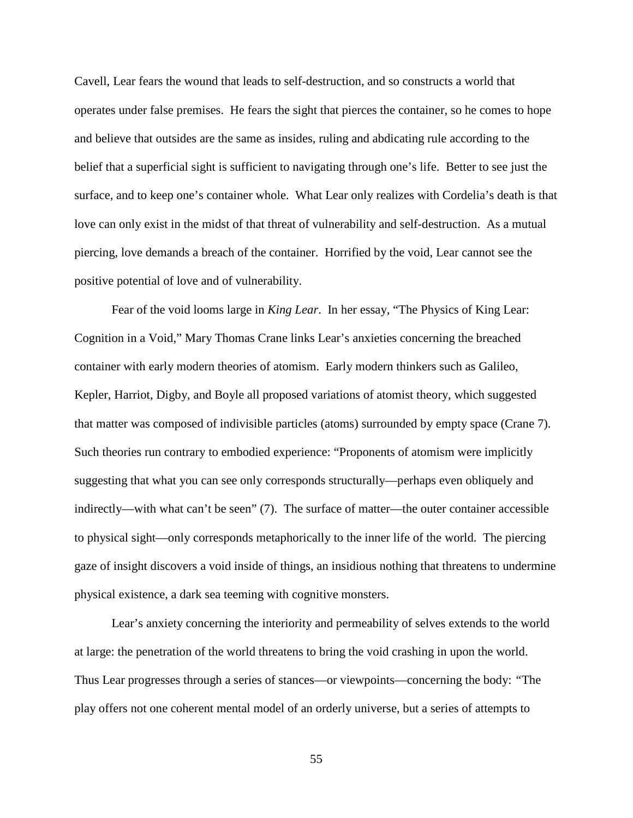Cavell, Lear fears the wound that leads to self-destruction, and so constructs a world that operates under false premises. He fears the sight that pierces the container, so he comes to hope and believe that outsides are the same as insides, ruling and abdicating rule according to the belief that a superficial sight is sufficient to navigating through one's life. Better to see just the surface, and to keep one's container whole. What Lear only realizes with Cordelia's death is that love can only exist in the midst of that threat of vulnerability and self-destruction. As a mutual piercing, love demands a breach of the container. Horrified by the void, Lear cannot see the positive potential of love and of vulnerability.

Fear of the void looms large in *King Lear*. In her essay, "The Physics of King Lear: Cognition in a Void," Mary Thomas Crane links Lear's anxieties concerning the breached container with early modern theories of atomism. Early modern thinkers such as Galileo, Kepler, Harriot, Digby, and Boyle all proposed variations of atomist theory, which suggested that matter was composed of indivisible particles (atoms) surrounded by empty space (Crane 7). Such theories run contrary to embodied experience: "Proponents of atomism were implicitly suggesting that what you can see only corresponds structurally—perhaps even obliquely and indirectly—with what can't be seen" (7). The surface of matter—the outer container accessible to physical sight—only corresponds metaphorically to the inner life of the world. The piercing gaze of insight discovers a void inside of things, an insidious nothing that threatens to undermine physical existence, a dark sea teeming with cognitive monsters.

Lear's anxiety concerning the interiority and permeability of selves extends to the world at large: the penetration of the world threatens to bring the void crashing in upon the world. Thus Lear progresses through a series of stances—or viewpoints—concerning the body: *"*The play offers not one coherent mental model of an orderly universe, but a series of attempts to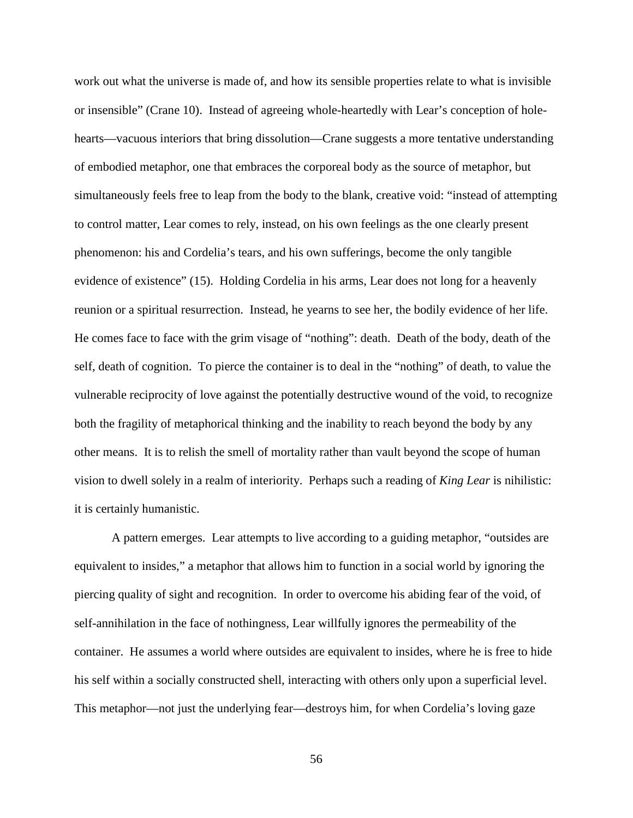work out what the universe is made of, and how its sensible properties relate to what is invisible or insensible" (Crane 10).Instead of agreeing whole-heartedly with Lear's conception of holehearts—vacuous interiors that bring dissolution—Crane suggests a more tentative understanding of embodied metaphor, one that embraces the corporeal body as the source of metaphor, but simultaneously feels free to leap from the body to the blank, creative void: "instead of attempting to control matter, Lear comes to rely, instead, on his own feelings as the one clearly present phenomenon: his and Cordelia's tears, and his own sufferings, become the only tangible evidence of existence" (15). Holding Cordelia in his arms, Lear does not long for a heavenly reunion or a spiritual resurrection. Instead, he yearns to see her, the bodily evidence of her life. He comes face to face with the grim visage of "nothing": death. Death of the body, death of the self, death of cognition. To pierce the container is to deal in the "nothing" of death, to value the vulnerable reciprocity of love against the potentially destructive wound of the void, to recognize both the fragility of metaphorical thinking and the inability to reach beyond the body by any other means. It is to relish the smell of mortality rather than vault beyond the scope of human vision to dwell solely in a realm of interiority. Perhaps such a reading of *King Lear* is nihilistic: it is certainly humanistic.

A pattern emerges. Lear attempts to live according to a guiding metaphor, "outsides are equivalent to insides," a metaphor that allows him to function in a social world by ignoring the piercing quality of sight and recognition. In order to overcome his abiding fear of the void, of self-annihilation in the face of nothingness, Lear willfully ignores the permeability of the container. He assumes a world where outsides are equivalent to insides, where he is free to hide his self within a socially constructed shell, interacting with others only upon a superficial level. This metaphor—not just the underlying fear—destroys him, for when Cordelia's loving gaze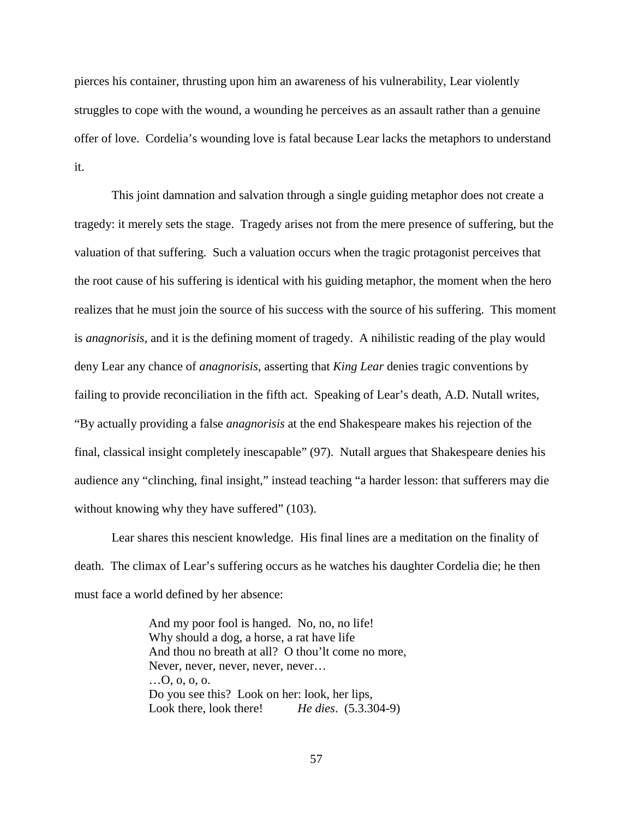pierces his container, thrusting upon him an awareness of his vulnerability, Lear violently struggles to cope with the wound, a wounding he perceives as an assault rather than a genuine offer of love. Cordelia's wounding love is fatal because Lear lacks the metaphors to understand it.

This joint damnation and salvation through a single guiding metaphor does not create a tragedy: it merely sets the stage. Tragedy arises not from the mere presence of suffering, but the valuation of that suffering. Such a valuation occurs when the tragic protagonist perceives that the root cause of his suffering is identical with his guiding metaphor, the moment when the hero realizes that he must join the source of his success with the source of his suffering. This moment is *anagnorisis*, and it is the defining moment of tragedy. A nihilistic reading of the play would deny Lear any chance of *anagnorisis*, asserting that *King Lear* denies tragic conventions by failing to provide reconciliation in the fifth act. Speaking of Lear's death, A.D. Nutall writes, "By actually providing a false *anagnorisis* at the end Shakespeare makes his rejection of the final, classical insight completely inescapable" (97). Nutall argues that Shakespeare denies his audience any "clinching, final insight," instead teaching "a harder lesson: that sufferers may die without knowing why they have suffered" (103).

Lear shares this nescient knowledge. His final lines are a meditation on the finality of death. The climax of Lear's suffering occurs as he watches his daughter Cordelia die; he then must face a world defined by her absence:

> And my poor fool is hanged. No, no, no life! Why should a dog, a horse, a rat have life And thou no breath at all? O thou'lt come no more, Never, never, never, never, never… …O, o, o, o. Do you see this? Look on her: look, her lips, Look there, look there! *He dies*. (5.3.304-9)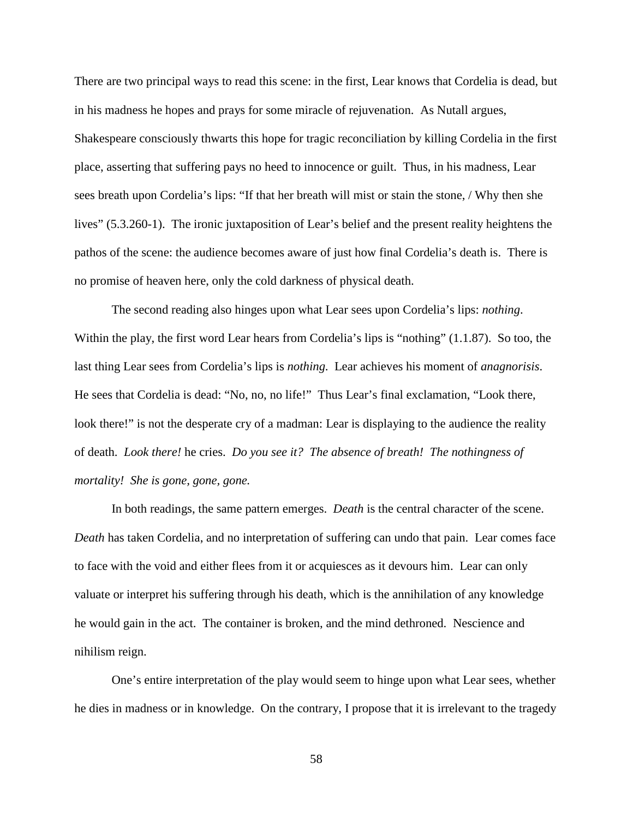There are two principal ways to read this scene: in the first, Lear knows that Cordelia is dead, but in his madness he hopes and prays for some miracle of rejuvenation. As Nutall argues, Shakespeare consciously thwarts this hope for tragic reconciliation by killing Cordelia in the first place, asserting that suffering pays no heed to innocence or guilt. Thus, in his madness, Lear sees breath upon Cordelia's lips: "If that her breath will mist or stain the stone, / Why then she lives" (5.3.260-1). The ironic juxtaposition of Lear's belief and the present reality heightens the pathos of the scene: the audience becomes aware of just how final Cordelia's death is. There is no promise of heaven here, only the cold darkness of physical death.

The second reading also hinges upon what Lear sees upon Cordelia's lips: *nothing*. Within the play, the first word Lear hears from Cordelia's lips is "nothing" (1.1.87). So too, the last thing Lear sees from Cordelia's lips is *nothing*. Lear achieves his moment of *anagnorisis*. He sees that Cordelia is dead: "No, no, no life!" Thus Lear's final exclamation, "Look there, look there!" is not the desperate cry of a madman: Lear is displaying to the audience the reality of death. *Look there!* he cries. *Do you see it? The absence of breath! The nothingness of mortality! She is gone, gone, gone.*

In both readings, the same pattern emerges. *Death* is the central character of the scene. *Death* has taken Cordelia, and no interpretation of suffering can undo that pain. Lear comes face to face with the void and either flees from it or acquiesces as it devours him. Lear can only valuate or interpret his suffering through his death, which is the annihilation of any knowledge he would gain in the act. The container is broken, and the mind dethroned. Nescience and nihilism reign.

One's entire interpretation of the play would seem to hinge upon what Lear sees, whether he dies in madness or in knowledge. On the contrary, I propose that it is irrelevant to the tragedy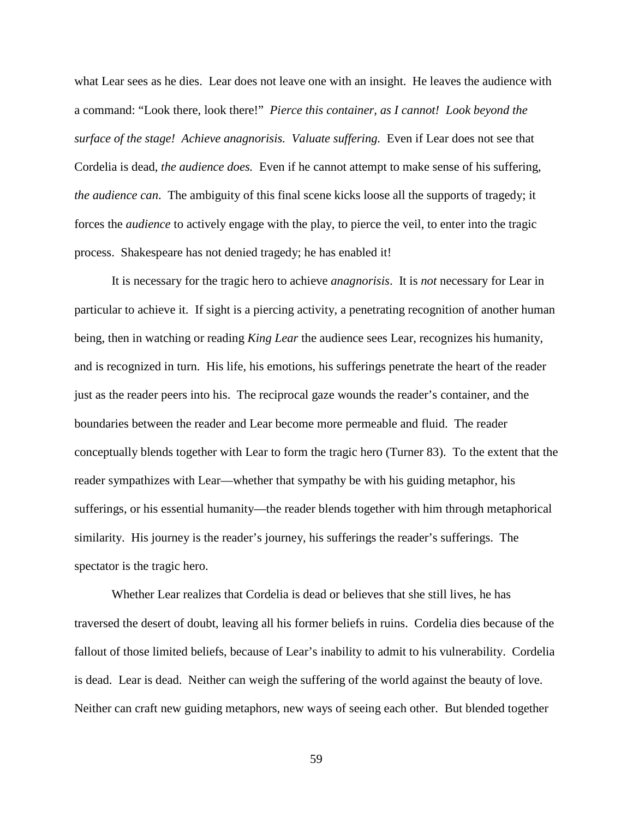what Lear sees as he dies. Lear does not leave one with an insight. He leaves the audience with a command: "Look there, look there!" *Pierce this container, as I cannot! Look beyond the surface of the stage! Achieve anagnorisis. Valuate suffering.* Even if Lear does not see that Cordelia is dead, *the audience does.* Even if he cannot attempt to make sense of his suffering, *the audience can*. The ambiguity of this final scene kicks loose all the supports of tragedy; it forces the *audience* to actively engage with the play, to pierce the veil, to enter into the tragic process. Shakespeare has not denied tragedy; he has enabled it!

It is necessary for the tragic hero to achieve *anagnorisis*. It is *not* necessary for Lear in particular to achieve it. If sight is a piercing activity, a penetrating recognition of another human being, then in watching or reading *King Lear* the audience sees Lear, recognizes his humanity, and is recognized in turn. His life, his emotions, his sufferings penetrate the heart of the reader just as the reader peers into his. The reciprocal gaze wounds the reader's container, and the boundaries between the reader and Lear become more permeable and fluid. The reader conceptually blends together with Lear to form the tragic hero (Turner 83). To the extent that the reader sympathizes with Lear—whether that sympathy be with his guiding metaphor, his sufferings, or his essential humanity—the reader blends together with him through metaphorical similarity. His journey is the reader's journey, his sufferings the reader's sufferings. The spectator is the tragic hero.

Whether Lear realizes that Cordelia is dead or believes that she still lives, he has traversed the desert of doubt, leaving all his former beliefs in ruins. Cordelia dies because of the fallout of those limited beliefs, because of Lear's inability to admit to his vulnerability. Cordelia is dead. Lear is dead. Neither can weigh the suffering of the world against the beauty of love. Neither can craft new guiding metaphors, new ways of seeing each other. But blended together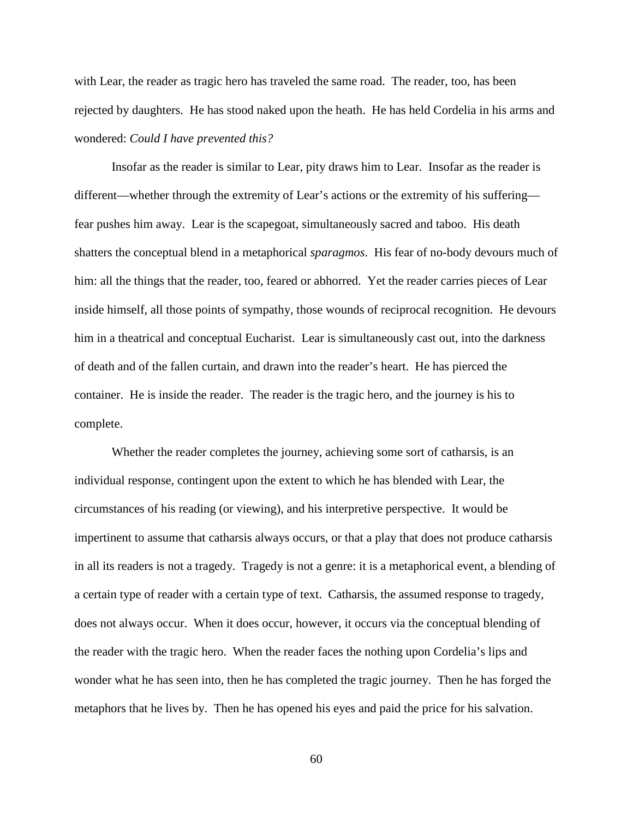with Lear, the reader as tragic hero has traveled the same road. The reader, too, has been rejected by daughters. He has stood naked upon the heath. He has held Cordelia in his arms and wondered: *Could I have prevented this?* 

Insofar as the reader is similar to Lear, pity draws him to Lear. Insofar as the reader is different—whether through the extremity of Lear's actions or the extremity of his suffering fear pushes him away. Lear is the scapegoat, simultaneously sacred and taboo. His death shatters the conceptual blend in a metaphorical *sparagmos*. His fear of no-body devours much of him: all the things that the reader, too, feared or abhorred. Yet the reader carries pieces of Lear inside himself, all those points of sympathy, those wounds of reciprocal recognition. He devours him in a theatrical and conceptual Eucharist. Lear is simultaneously cast out, into the darkness of death and of the fallen curtain, and drawn into the reader's heart. He has pierced the container. He is inside the reader. The reader is the tragic hero, and the journey is his to complete.

Whether the reader completes the journey, achieving some sort of catharsis, is an individual response, contingent upon the extent to which he has blended with Lear, the circumstances of his reading (or viewing), and his interpretive perspective. It would be impertinent to assume that catharsis always occurs, or that a play that does not produce catharsis in all its readers is not a tragedy. Tragedy is not a genre: it is a metaphorical event, a blending of a certain type of reader with a certain type of text. Catharsis, the assumed response to tragedy, does not always occur. When it does occur, however, it occurs via the conceptual blending of the reader with the tragic hero. When the reader faces the nothing upon Cordelia's lips and wonder what he has seen into, then he has completed the tragic journey. Then he has forged the metaphors that he lives by. Then he has opened his eyes and paid the price for his salvation.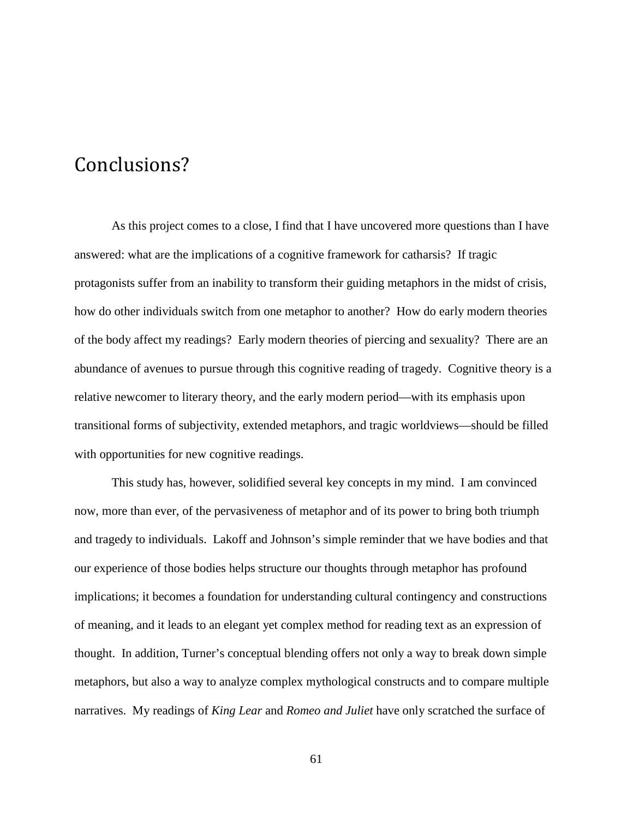### Conclusions?

As this project comes to a close, I find that I have uncovered more questions than I have answered: what are the implications of a cognitive framework for catharsis? If tragic protagonists suffer from an inability to transform their guiding metaphors in the midst of crisis, how do other individuals switch from one metaphor to another? How do early modern theories of the body affect my readings? Early modern theories of piercing and sexuality? There are an abundance of avenues to pursue through this cognitive reading of tragedy. Cognitive theory is a relative newcomer to literary theory, and the early modern period—with its emphasis upon transitional forms of subjectivity, extended metaphors, and tragic worldviews—should be filled with opportunities for new cognitive readings.

This study has, however, solidified several key concepts in my mind. I am convinced now, more than ever, of the pervasiveness of metaphor and of its power to bring both triumph and tragedy to individuals. Lakoff and Johnson's simple reminder that we have bodies and that our experience of those bodies helps structure our thoughts through metaphor has profound implications; it becomes a foundation for understanding cultural contingency and constructions of meaning, and it leads to an elegant yet complex method for reading text as an expression of thought. In addition, Turner's conceptual blending offers not only a way to break down simple metaphors, but also a way to analyze complex mythological constructs and to compare multiple narratives. My readings of *King Lear* and *Romeo and Juliet* have only scratched the surface of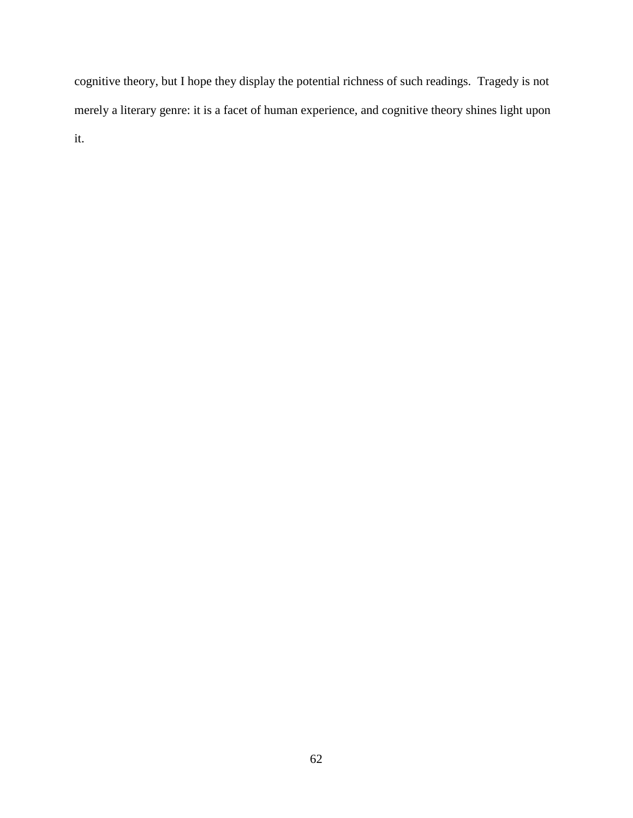cognitive theory, but I hope they display the potential richness of such readings. Tragedy is not merely a literary genre: it is a facet of human experience, and cognitive theory shines light upon it.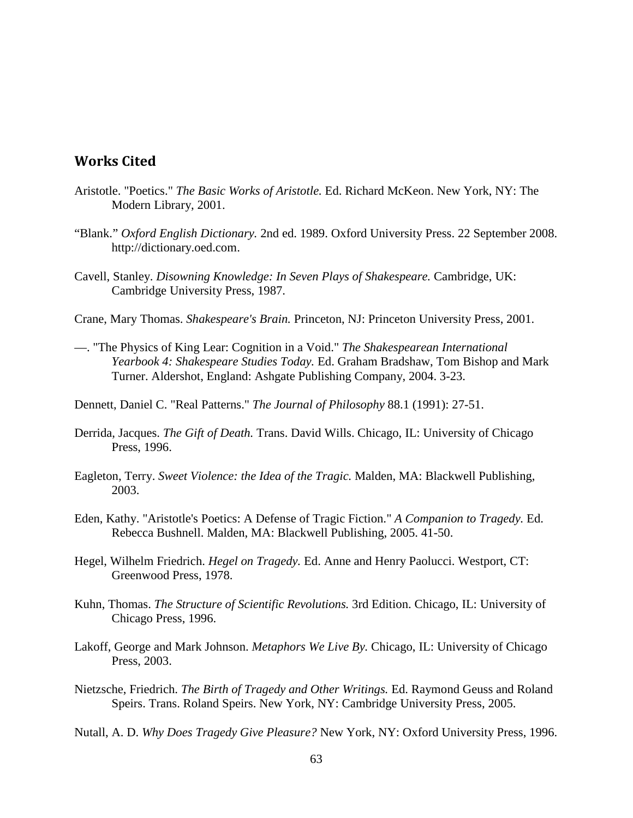#### Works Cited

- Aristotle. "Poetics." *The Basic Works of Aristotle.* Ed. Richard McKeon. New York, NY: The Modern Library, 2001.
- "Blank." *Oxford English Dictionary.* 2nd ed. 1989. Oxford University Press. 22 September 2008. http://dictionary.oed.com.
- Cavell, Stanley. *Disowning Knowledge: In Seven Plays of Shakespeare.* Cambridge, UK: Cambridge University Press, 1987.
- Crane, Mary Thomas. *Shakespeare's Brain.* Princeton, NJ: Princeton University Press, 2001.
- —. "The Physics of King Lear: Cognition in a Void." *The Shakespearean International Yearbook 4: Shakespeare Studies Today.* Ed. Graham Bradshaw, Tom Bishop and Mark Turner. Aldershot, England: Ashgate Publishing Company, 2004. 3-23.
- Dennett, Daniel C. "Real Patterns." *The Journal of Philosophy* 88.1 (1991): 27-51.
- Derrida, Jacques. *The Gift of Death.* Trans. David Wills. Chicago, IL: University of Chicago Press, 1996.
- Eagleton, Terry. *Sweet Violence: the Idea of the Tragic.* Malden, MA: Blackwell Publishing, 2003.
- Eden, Kathy. "Aristotle's Poetics: A Defense of Tragic Fiction." *A Companion to Tragedy.* Ed. Rebecca Bushnell. Malden, MA: Blackwell Publishing, 2005. 41-50.
- Hegel, Wilhelm Friedrich. *Hegel on Tragedy.* Ed. Anne and Henry Paolucci. Westport, CT: Greenwood Press, 1978.
- Kuhn, Thomas. *The Structure of Scientific Revolutions.* 3rd Edition. Chicago, IL: University of Chicago Press, 1996.
- Lakoff, George and Mark Johnson. *Metaphors We Live By.* Chicago, IL: University of Chicago Press, 2003.
- Nietzsche, Friedrich. *The Birth of Tragedy and Other Writings.* Ed. Raymond Geuss and Roland Speirs. Trans. Roland Speirs. New York, NY: Cambridge University Press, 2005.

Nutall, A. D. *Why Does Tragedy Give Pleasure?* New York, NY: Oxford University Press, 1996.